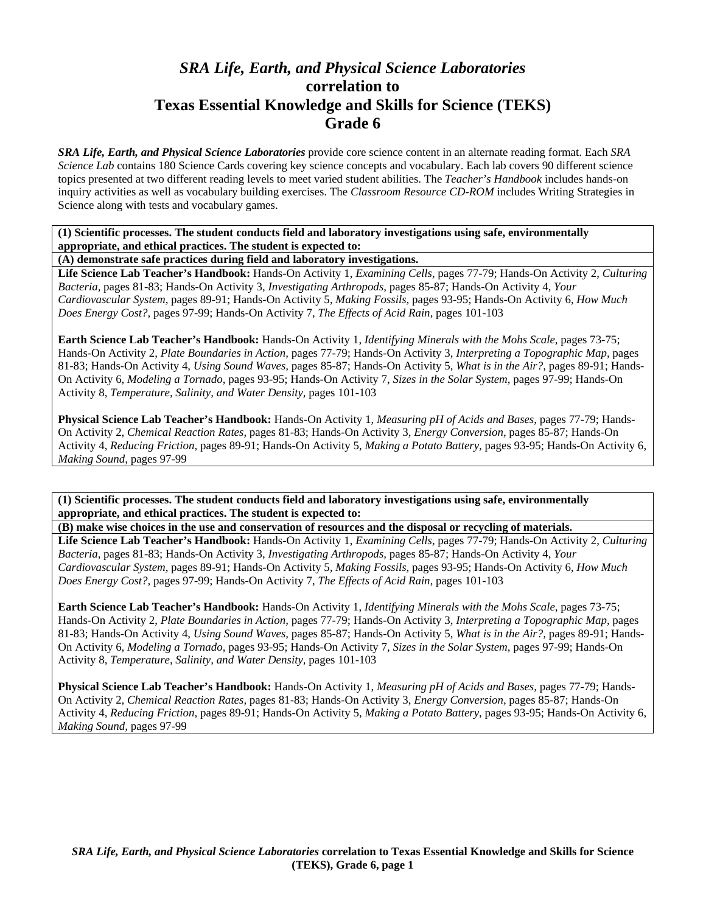# *SRA Life, Earth, and Physical Science Laboratories*  **correlation to Texas Essential Knowledge and Skills for Science (TEKS) Grade 6**

*SRA Life, Earth, and Physical Science Laboratories* provide core science content in an alternate reading format. Each *SRA Science Lab* contains 180 Science Cards covering key science concepts and vocabulary. Each lab covers 90 different science topics presented at two different reading levels to meet varied student abilities. The *Teacher's Handbook* includes hands-on inquiry activities as well as vocabulary building exercises. The *Classroom Resource CD-ROM* includes Writing Strategies in Science along with tests and vocabulary games.

**(1) Scientific processes. The student conducts field and laboratory investigations using safe, environmentally appropriate, and ethical practices. The student is expected to:** 

**(A) demonstrate safe practices during field and laboratory investigations.** 

**Life Science Lab Teacher's Handbook:** Hands-On Activity 1, *Examining Cells,* pages 77-79; Hands-On Activity 2, *Culturing Bacteria,* pages 81-83; Hands-On Activity 3, *Investigating Arthropods,* pages 85-87; Hands-On Activity 4, *Your Cardiovascular System,* pages 89-91; Hands-On Activity 5, *Making Fossils,* pages 93-95; Hands-On Activity 6, *How Much Does Energy Cost?,* pages 97-99; Hands-On Activity 7, *The Effects of Acid Rain,* pages 101-103

**Earth Science Lab Teacher's Handbook:** Hands-On Activity 1, *Identifying Minerals with the Mohs Scale,* pages 73-75; Hands-On Activity 2, *Plate Boundaries in Action,* pages 77-79; Hands-On Activity 3, *Interpreting a Topographic Map,* pages 81-83; Hands-On Activity 4, *Using Sound Waves,* pages 85-87; Hands-On Activity 5, *What is in the Air?,* pages 89-91; Hands-On Activity 6, *Modeling a Tornado,* pages 93-95; Hands-On Activity 7, *Sizes in the Solar System,* pages 97-99; Hands-On Activity 8, *Temperature, Salinity, and Water Density,* pages 101-103

**Physical Science Lab Teacher's Handbook:** Hands-On Activity 1, *Measuring pH of Acids and Bases,* pages 77-79; Hands-On Activity 2, *Chemical Reaction Rates,* pages 81-83; Hands-On Activity 3, *Energy Conversion,* pages 85-87; Hands-On Activity 4, *Reducing Friction,* pages 89-91; Hands-On Activity 5, *Making a Potato Battery,* pages 93-95; Hands-On Activity 6, *Making Sound,* pages 97-99

**(1) Scientific processes. The student conducts field and laboratory investigations using safe, environmentally appropriate, and ethical practices. The student is expected to:** 

**(B) make wise choices in the use and conservation of resources and the disposal or recycling of materials.** 

**Life Science Lab Teacher's Handbook:** Hands-On Activity 1, *Examining Cells,* pages 77-79; Hands-On Activity 2, *Culturing Bacteria,* pages 81-83; Hands-On Activity 3, *Investigating Arthropods,* pages 85-87; Hands-On Activity 4, *Your Cardiovascular System,* pages 89-91; Hands-On Activity 5, *Making Fossils,* pages 93-95; Hands-On Activity 6, *How Much Does Energy Cost?,* pages 97-99; Hands-On Activity 7, *The Effects of Acid Rain,* pages 101-103

**Earth Science Lab Teacher's Handbook:** Hands-On Activity 1, *Identifying Minerals with the Mohs Scale,* pages 73-75; Hands-On Activity 2, *Plate Boundaries in Action,* pages 77-79; Hands-On Activity 3, *Interpreting a Topographic Map,* pages 81-83; Hands-On Activity 4, *Using Sound Waves,* pages 85-87; Hands-On Activity 5, *What is in the Air?,* pages 89-91; Hands-On Activity 6, *Modeling a Tornado,* pages 93-95; Hands-On Activity 7, *Sizes in the Solar System,* pages 97-99; Hands-On Activity 8, *Temperature, Salinity, and Water Density,* pages 101-103

**Physical Science Lab Teacher's Handbook:** Hands-On Activity 1, *Measuring pH of Acids and Bases,* pages 77-79; Hands-On Activity 2, *Chemical Reaction Rates,* pages 81-83; Hands-On Activity 3, *Energy Conversion,* pages 85-87; Hands-On Activity 4, *Reducing Friction,* pages 89-91; Hands-On Activity 5, *Making a Potato Battery,* pages 93-95; Hands-On Activity 6, *Making Sound,* pages 97-99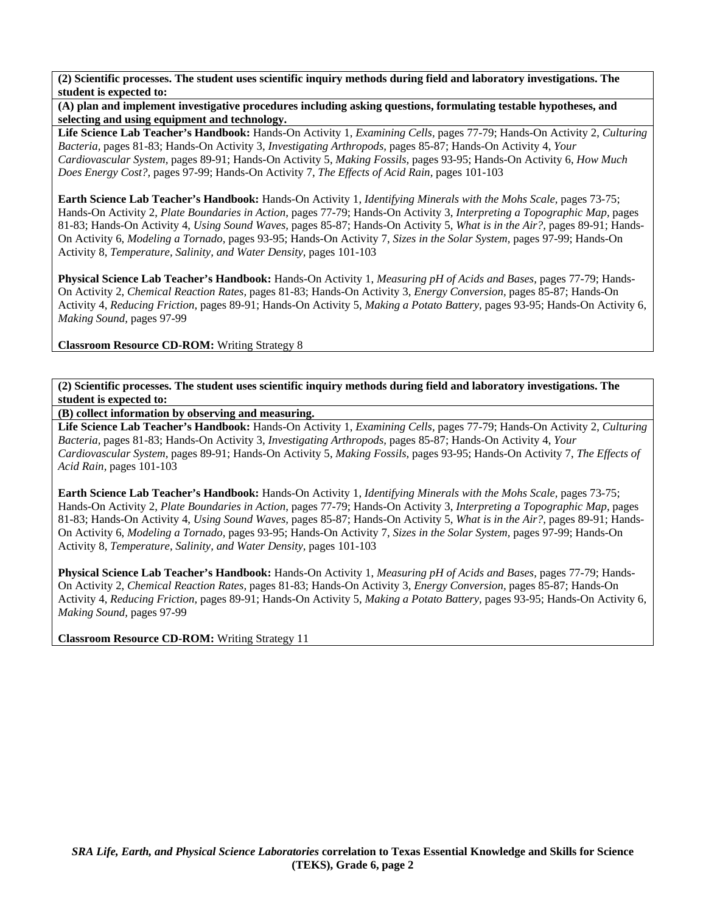**(A) plan and implement investigative procedures including asking questions, formulating testable hypotheses, and selecting and using equipment and technology.** 

**Life Science Lab Teacher's Handbook:** Hands-On Activity 1, *Examining Cells,* pages 77-79; Hands-On Activity 2, *Culturing Bacteria,* pages 81-83; Hands-On Activity 3, *Investigating Arthropods,* pages 85-87; Hands-On Activity 4, *Your Cardiovascular System,* pages 89-91; Hands-On Activity 5, *Making Fossils,* pages 93-95; Hands-On Activity 6, *How Much Does Energy Cost?,* pages 97-99; Hands-On Activity 7, *The Effects of Acid Rain,* pages 101-103

**Earth Science Lab Teacher's Handbook:** Hands-On Activity 1, *Identifying Minerals with the Mohs Scale,* pages 73-75; Hands-On Activity 2, *Plate Boundaries in Action,* pages 77-79; Hands-On Activity 3, *Interpreting a Topographic Map,* pages 81-83; Hands-On Activity 4, *Using Sound Waves,* pages 85-87; Hands-On Activity 5, *What is in the Air?,* pages 89-91; Hands-On Activity 6, *Modeling a Tornado,* pages 93-95; Hands-On Activity 7, *Sizes in the Solar System,* pages 97-99; Hands-On Activity 8, *Temperature, Salinity, and Water Density,* pages 101-103

**Physical Science Lab Teacher's Handbook:** Hands-On Activity 1, *Measuring pH of Acids and Bases,* pages 77-79; Hands-On Activity 2, *Chemical Reaction Rates,* pages 81-83; Hands-On Activity 3, *Energy Conversion,* pages 85-87; Hands-On Activity 4, *Reducing Friction,* pages 89-91; Hands-On Activity 5, *Making a Potato Battery,* pages 93-95; Hands-On Activity 6, *Making Sound,* pages 97-99

**Classroom Resource CD-ROM:** Writing Strategy 8

**(2) Scientific processes. The student uses scientific inquiry methods during field and laboratory investigations. The student is expected to:** 

**(B) collect information by observing and measuring.** 

**Life Science Lab Teacher's Handbook:** Hands-On Activity 1, *Examining Cells,* pages 77-79; Hands-On Activity 2, *Culturing Bacteria,* pages 81-83; Hands-On Activity 3, *Investigating Arthropods,* pages 85-87; Hands-On Activity 4, *Your Cardiovascular System,* pages 89-91; Hands-On Activity 5, *Making Fossils,* pages 93-95; Hands-On Activity 7, *The Effects of Acid Rain,* pages 101-103

**Earth Science Lab Teacher's Handbook:** Hands-On Activity 1, *Identifying Minerals with the Mohs Scale,* pages 73-75; Hands-On Activity 2, *Plate Boundaries in Action,* pages 77-79; Hands-On Activity 3, *Interpreting a Topographic Map,* pages 81-83; Hands-On Activity 4, *Using Sound Waves,* pages 85-87; Hands-On Activity 5, *What is in the Air?,* pages 89-91; Hands-On Activity 6, *Modeling a Tornado,* pages 93-95; Hands-On Activity 7, *Sizes in the Solar System,* pages 97-99; Hands-On Activity 8, *Temperature, Salinity, and Water Density,* pages 101-103

**Physical Science Lab Teacher's Handbook:** Hands-On Activity 1, *Measuring pH of Acids and Bases,* pages 77-79; Hands-On Activity 2, *Chemical Reaction Rates,* pages 81-83; Hands-On Activity 3, *Energy Conversion,* pages 85-87; Hands-On Activity 4, *Reducing Friction,* pages 89-91; Hands-On Activity 5, *Making a Potato Battery,* pages 93-95; Hands-On Activity 6, *Making Sound,* pages 97-99

**Classroom Resource CD-ROM:** Writing Strategy 11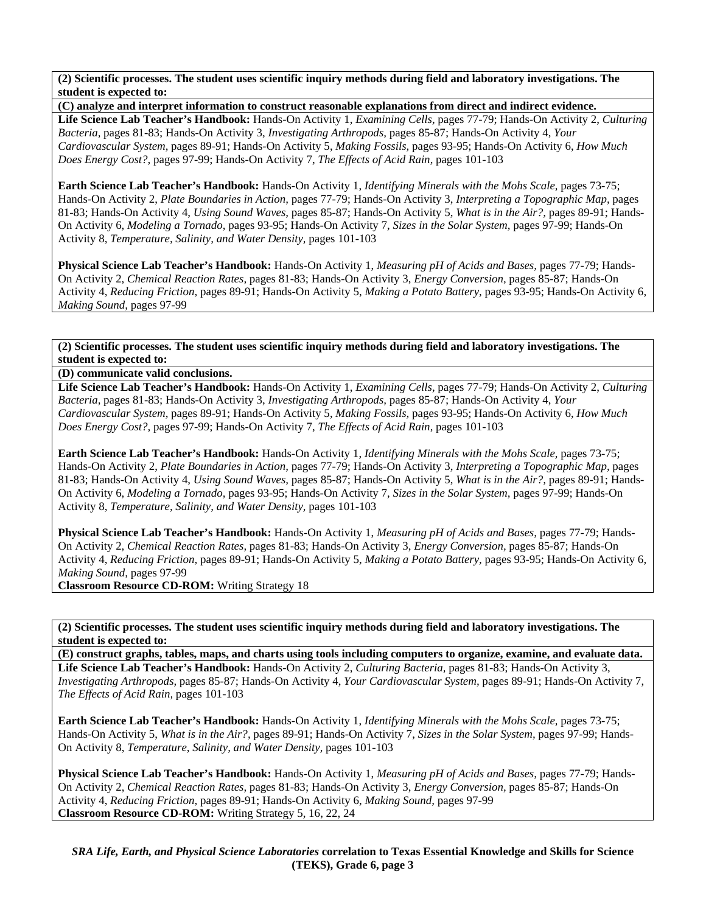**(C) analyze and interpret information to construct reasonable explanations from direct and indirect evidence.** 

**Life Science Lab Teacher's Handbook:** Hands-On Activity 1, *Examining Cells,* pages 77-79; Hands-On Activity 2, *Culturing Bacteria,* pages 81-83; Hands-On Activity 3, *Investigating Arthropods,* pages 85-87; Hands-On Activity 4, *Your Cardiovascular System,* pages 89-91; Hands-On Activity 5, *Making Fossils,* pages 93-95; Hands-On Activity 6, *How Much Does Energy Cost?,* pages 97-99; Hands-On Activity 7, *The Effects of Acid Rain,* pages 101-103

**Earth Science Lab Teacher's Handbook:** Hands-On Activity 1, *Identifying Minerals with the Mohs Scale,* pages 73-75; Hands-On Activity 2, *Plate Boundaries in Action,* pages 77-79; Hands-On Activity 3, *Interpreting a Topographic Map,* pages 81-83; Hands-On Activity 4, *Using Sound Waves,* pages 85-87; Hands-On Activity 5, *What is in the Air?,* pages 89-91; Hands-On Activity 6, *Modeling a Tornado,* pages 93-95; Hands-On Activity 7, *Sizes in the Solar System,* pages 97-99; Hands-On Activity 8, *Temperature, Salinity, and Water Density,* pages 101-103

**Physical Science Lab Teacher's Handbook:** Hands-On Activity 1, *Measuring pH of Acids and Bases,* pages 77-79; Hands-On Activity 2, *Chemical Reaction Rates,* pages 81-83; Hands-On Activity 3, *Energy Conversion,* pages 85-87; Hands-On Activity 4, *Reducing Friction,* pages 89-91; Hands-On Activity 5, *Making a Potato Battery,* pages 93-95; Hands-On Activity 6, *Making Sound,* pages 97-99

**(2) Scientific processes. The student uses scientific inquiry methods during field and laboratory investigations. The student is expected to:** 

### **(D) communicate valid conclusions.**

**Life Science Lab Teacher's Handbook:** Hands-On Activity 1, *Examining Cells,* pages 77-79; Hands-On Activity 2, *Culturing Bacteria,* pages 81-83; Hands-On Activity 3, *Investigating Arthropods,* pages 85-87; Hands-On Activity 4, *Your Cardiovascular System,* pages 89-91; Hands-On Activity 5, *Making Fossils,* pages 93-95; Hands-On Activity 6, *How Much Does Energy Cost?,* pages 97-99; Hands-On Activity 7, *The Effects of Acid Rain,* pages 101-103

**Earth Science Lab Teacher's Handbook:** Hands-On Activity 1, *Identifying Minerals with the Mohs Scale,* pages 73-75; Hands-On Activity 2, *Plate Boundaries in Action,* pages 77-79; Hands-On Activity 3, *Interpreting a Topographic Map,* pages 81-83; Hands-On Activity 4, *Using Sound Waves,* pages 85-87; Hands-On Activity 5, *What is in the Air?,* pages 89-91; Hands-On Activity 6, *Modeling a Tornado,* pages 93-95; Hands-On Activity 7, *Sizes in the Solar System,* pages 97-99; Hands-On Activity 8, *Temperature, Salinity, and Water Density,* pages 101-103

**Physical Science Lab Teacher's Handbook:** Hands-On Activity 1, *Measuring pH of Acids and Bases,* pages 77-79; Hands-On Activity 2, *Chemical Reaction Rates,* pages 81-83; Hands-On Activity 3, *Energy Conversion,* pages 85-87; Hands-On Activity 4, *Reducing Friction,* pages 89-91; Hands-On Activity 5, *Making a Potato Battery,* pages 93-95; Hands-On Activity 6, *Making Sound,* pages 97-99

**Classroom Resource CD-ROM:** Writing Strategy 18

**(2) Scientific processes. The student uses scientific inquiry methods during field and laboratory investigations. The student is expected to:** 

**(E) construct graphs, tables, maps, and charts using tools including computers to organize, examine, and evaluate data. Life Science Lab Teacher's Handbook:** Hands-On Activity 2, *Culturing Bacteria,* pages 81-83; Hands-On Activity 3, *Investigating Arthropods,* pages 85-87; Hands-On Activity 4, *Your Cardiovascular System,* pages 89-91; Hands-On Activity 7, *The Effects of Acid Rain,* pages 101-103

**Earth Science Lab Teacher's Handbook:** Hands-On Activity 1, *Identifying Minerals with the Mohs Scale,* pages 73-75; Hands-On Activity 5, *What is in the Air?,* pages 89-91; Hands-On Activity 7, *Sizes in the Solar System,* pages 97-99; Hands-On Activity 8, *Temperature, Salinity, and Water Density,* pages 101-103

**Physical Science Lab Teacher's Handbook:** Hands-On Activity 1, *Measuring pH of Acids and Bases,* pages 77-79; Hands-On Activity 2, *Chemical Reaction Rates,* pages 81-83; Hands-On Activity 3, *Energy Conversion,* pages 85-87; Hands-On Activity 4, *Reducing Friction,* pages 89-91; Hands-On Activity 6, *Making Sound,* pages 97-99 **Classroom Resource CD-ROM:** Writing Strategy 5, 16, 22, 24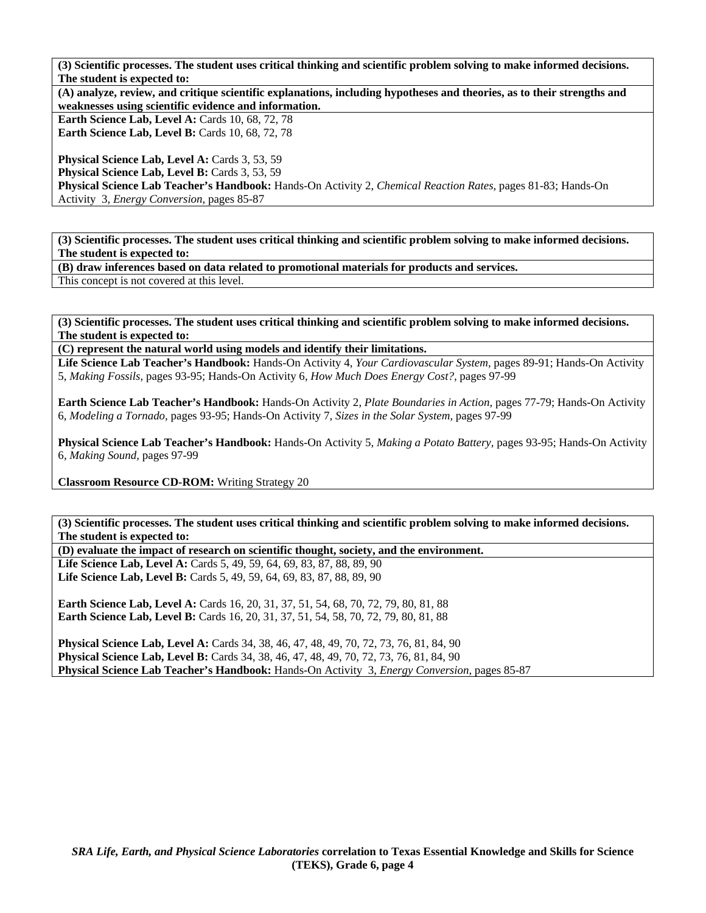**(A) analyze, review, and critique scientific explanations, including hypotheses and theories, as to their strengths and weaknesses using scientific evidence and information.** 

**Earth Science Lab, Level A: Cards 10, 68, 72, 78 Earth Science Lab, Level B: Cards 10, 68, 72, 78** 

Physical Science Lab, Level A: Cards 3, 53, 59 **Physical Science Lab, Level B: Cards 3, 53, 59 Physical Science Lab Teacher's Handbook:** Hands-On Activity 2, *Chemical Reaction Rates,* pages 81-83; Hands-On Activity 3, *Energy Conversion,* pages 85-87

**(3) Scientific processes. The student uses critical thinking and scientific problem solving to make informed decisions. The student is expected to:** 

**(B) draw inferences based on data related to promotional materials for products and services.** 

This concept is not covered at this level.

**(3) Scientific processes. The student uses critical thinking and scientific problem solving to make informed decisions. The student is expected to:** 

**(C) represent the natural world using models and identify their limitations.** 

**Life Science Lab Teacher's Handbook:** Hands-On Activity 4, *Your Cardiovascular System,* pages 89-91; Hands-On Activity 5, *Making Fossils,* pages 93-95; Hands-On Activity 6, *How Much Does Energy Cost?,* pages 97-99

**Earth Science Lab Teacher's Handbook:** Hands-On Activity 2, *Plate Boundaries in Action,* pages 77-79; Hands-On Activity 6, *Modeling a Tornado,* pages 93-95; Hands-On Activity 7, *Sizes in the Solar System,* pages 97-99

**Physical Science Lab Teacher's Handbook:** Hands-On Activity 5, *Making a Potato Battery,* pages 93-95; Hands-On Activity 6, *Making Sound,* pages 97-99

**Classroom Resource CD-ROM:** Writing Strategy 20

**(3) Scientific processes. The student uses critical thinking and scientific problem solving to make informed decisions. The student is expected to:** 

**(D) evaluate the impact of research on scientific thought, society, and the environment.**  Life Science Lab, Level A: Cards 5, 49, 59, 64, 69, 83, 87, 88, 89, 90

Life Science Lab, Level B: Cards 5, 49, 59, 64, 69, 83, 87, 88, 89, 90

**Earth Science Lab, Level A:** Cards 16, 20, 31, 37, 51, 54, 68, 70, 72, 79, 80, 81, 88 **Earth Science Lab, Level B:** Cards 16, 20, 31, 37, 51, 54, 58, 70, 72, 79, 80, 81, 88

**Physical Science Lab, Level A:** Cards 34, 38, 46, 47, 48, 49, 70, 72, 73, 76, 81, 84, 90 **Physical Science Lab, Level B:** Cards 34, 38, 46, 47, 48, 49, 70, 72, 73, 76, 81, 84, 90 **Physical Science Lab Teacher's Handbook:** Hands-On Activity 3, *Energy Conversion,* pages 85-87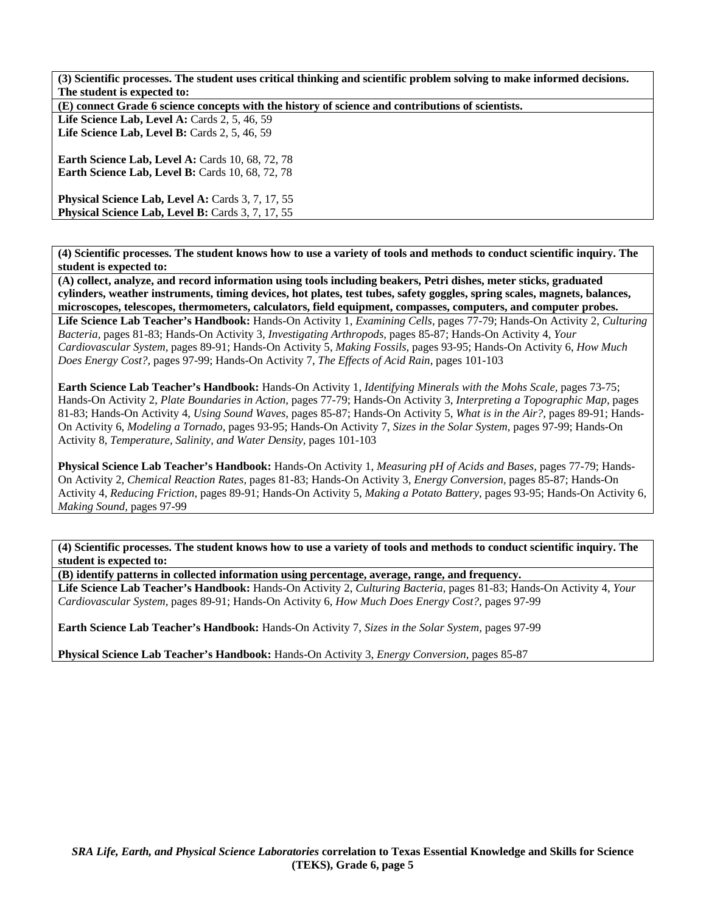| (E) connect Grade 6 science concepts with the history of science and contributions of scientists. |
|---------------------------------------------------------------------------------------------------|
| Life Science Lab, Level A: Cards $2, 5, 46, 59$                                                   |
| Life Science Lab, Level B: Cards 2, 5, 46, 59                                                     |
|                                                                                                   |
| <b>Earth Science Lab, Level A: Cards 10, 68, 72, 78</b>                                           |
| Earth Science Lab, Level B: Cards 10, 68, 72, 78                                                  |
|                                                                                                   |
| Physical Science Lab, Level A: Cards 3, 7, 17, 55                                                 |
| Physical Science Lab, Level B: Cards 3, 7, 17, 55                                                 |

**(4) Scientific processes. The student knows how to use a variety of tools and methods to conduct scientific inquiry. The student is expected to:** 

**(A) collect, analyze, and record information using tools including beakers, Petri dishes, meter sticks, graduated cylinders, weather instruments, timing devices, hot plates, test tubes, safety goggles, spring scales, magnets, balances, microscopes, telescopes, thermometers, calculators, field equipment, compasses, computers, and computer probes. Life Science Lab Teacher's Handbook:** Hands-On Activity 1, *Examining Cells,* pages 77-79; Hands-On Activity 2, *Culturing Bacteria,* pages 81-83; Hands-On Activity 3, *Investigating Arthropods,* pages 85-87; Hands-On Activity 4, *Your Cardiovascular System,* pages 89-91; Hands-On Activity 5, *Making Fossils,* pages 93-95; Hands-On Activity 6, *How Much Does Energy Cost?,* pages 97-99; Hands-On Activity 7, *The Effects of Acid Rain,* pages 101-103

**Earth Science Lab Teacher's Handbook:** Hands-On Activity 1, *Identifying Minerals with the Mohs Scale,* pages 73-75; Hands-On Activity 2, *Plate Boundaries in Action,* pages 77-79; Hands-On Activity 3, *Interpreting a Topographic Map,* pages 81-83; Hands-On Activity 4, *Using Sound Waves,* pages 85-87; Hands-On Activity 5, *What is in the Air?,* pages 89-91; Hands-On Activity 6, *Modeling a Tornado,* pages 93-95; Hands-On Activity 7, *Sizes in the Solar System,* pages 97-99; Hands-On Activity 8, *Temperature, Salinity, and Water Density,* pages 101-103

**Physical Science Lab Teacher's Handbook:** Hands-On Activity 1, *Measuring pH of Acids and Bases,* pages 77-79; Hands-On Activity 2, *Chemical Reaction Rates,* pages 81-83; Hands-On Activity 3, *Energy Conversion,* pages 85-87; Hands-On Activity 4, *Reducing Friction,* pages 89-91; Hands-On Activity 5, *Making a Potato Battery,* pages 93-95; Hands-On Activity 6, *Making Sound,* pages 97-99

**(4) Scientific processes. The student knows how to use a variety of tools and methods to conduct scientific inquiry. The student is expected to:** 

**(B) identify patterns in collected information using percentage, average, range, and frequency.** 

**Life Science Lab Teacher's Handbook:** Hands-On Activity 2, *Culturing Bacteria,* pages 81-83; Hands-On Activity 4, *Your Cardiovascular System,* pages 89-91; Hands-On Activity 6, *How Much Does Energy Cost?,* pages 97-99

**Earth Science Lab Teacher's Handbook:** Hands-On Activity 7, *Sizes in the Solar System,* pages 97-99

**Physical Science Lab Teacher's Handbook:** Hands-On Activity 3, *Energy Conversion,* pages 85-87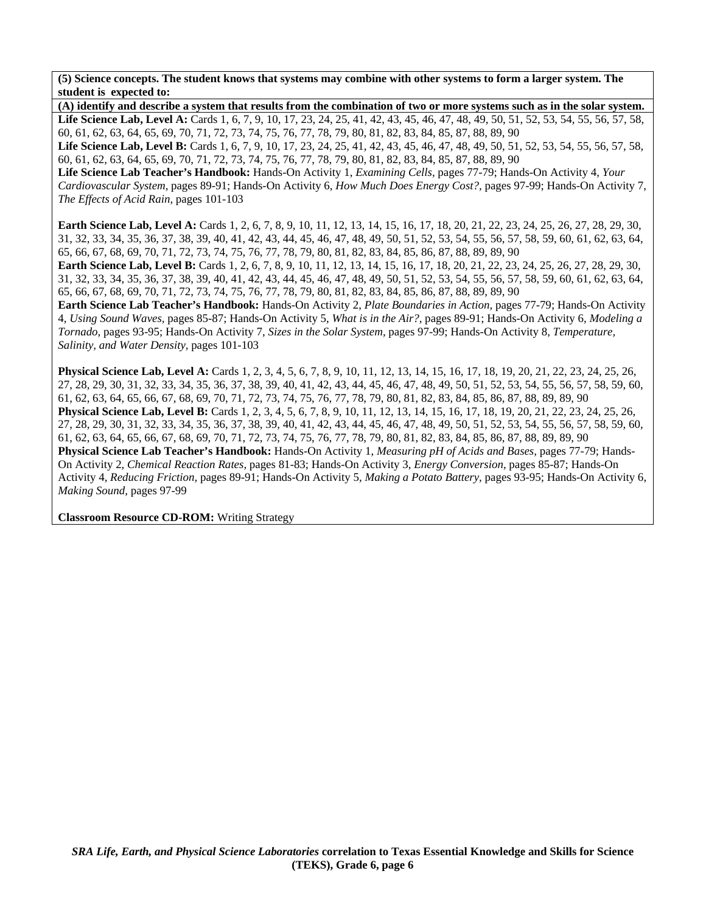**(5) Science concepts. The student knows that systems may combine with other systems to form a larger system. The student is expected to:** 

**(A) identify and describe a system that results from the combination of two or more systems such as in the solar system.**  Life Science Lab, Level A: Cards 1, 6, 7, 9, 10, 17, 23, 24, 25, 41, 42, 43, 45, 46, 47, 48, 49, 50, 51, 52, 53, 54, 55, 56, 57, 58, 60, 61, 62, 63, 64, 65, 69, 70, 71, 72, 73, 74, 75, 76, 77, 78, 79, 80, 81, 82, 83, 84, 85, 87, 88, 89, 90

Life Science Lab, Level B: Cards 1, 6, 7, 9, 10, 17, 23, 24, 25, 41, 42, 43, 45, 46, 47, 48, 49, 50, 51, 52, 53, 54, 55, 56, 57, 58, 60, 61, 62, 63, 64, 65, 69, 70, 71, 72, 73, 74, 75, 76, 77, 78, 79, 80, 81, 82, 83, 84, 85, 87, 88, 89, 90

**Life Science Lab Teacher's Handbook:** Hands-On Activity 1, *Examining Cells,* pages 77-79; Hands-On Activity 4, *Your Cardiovascular System,* pages 89-91; Hands-On Activity 6, *How Much Does Energy Cost?,* pages 97-99; Hands-On Activity 7, *The Effects of Acid Rain,* pages 101-103

**Earth Science Lab, Level A:** Cards 1, 2, 6, 7, 8, 9, 10, 11, 12, 13, 14, 15, 16, 17, 18, 20, 21, 22, 23, 24, 25, 26, 27, 28, 29, 30, 31, 32, 33, 34, 35, 36, 37, 38, 39, 40, 41, 42, 43, 44, 45, 46, 47, 48, 49, 50, 51, 52, 53, 54, 55, 56, 57, 58, 59, 60, 61, 62, 63, 64, 65, 66, 67, 68, 69, 70, 71, 72, 73, 74, 75, 76, 77, 78, 79, 80, 81, 82, 83, 84, 85, 86, 87, 88, 89, 89, 90

Earth Science Lab, Level B: Cards 1, 2, 6, 7, 8, 9, 10, 11, 12, 13, 14, 15, 16, 17, 18, 20, 21, 22, 23, 24, 25, 26, 27, 28, 29, 30, 31, 32, 33, 34, 35, 36, 37, 38, 39, 40, 41, 42, 43, 44, 45, 46, 47, 48, 49, 50, 51, 52, 53, 54, 55, 56, 57, 58, 59, 60, 61, 62, 63, 64, 65, 66, 67, 68, 69, 70, 71, 72, 73, 74, 75, 76, 77, 78, 79, 80, 81, 82, 83, 84, 85, 86, 87, 88, 89, 89, 90

**Earth Science Lab Teacher's Handbook:** Hands-On Activity 2, *Plate Boundaries in Action,* pages 77-79; Hands-On Activity 4, *Using Sound Waves,* pages 85-87; Hands-On Activity 5, *What is in the Air?,* pages 89-91; Hands-On Activity 6, *Modeling a Tornado,* pages 93-95; Hands-On Activity 7, *Sizes in the Solar System,* pages 97-99; Hands-On Activity 8, *Temperature, Salinity, and Water Density,* pages 101-103

**Physical Science Lab, Level A:** Cards 1, 2, 3, 4, 5, 6, 7, 8, 9, 10, 11, 12, 13, 14, 15, 16, 17, 18, 19, 20, 21, 22, 23, 24, 25, 26, 27, 28, 29, 30, 31, 32, 33, 34, 35, 36, 37, 38, 39, 40, 41, 42, 43, 44, 45, 46, 47, 48, 49, 50, 51, 52, 53, 54, 55, 56, 57, 58, 59, 60, 61, 62, 63, 64, 65, 66, 67, 68, 69, 70, 71, 72, 73, 74, 75, 76, 77, 78, 79, 80, 81, 82, 83, 84, 85, 86, 87, 88, 89, 89, 90 **Physical Science Lab, Level B:** Cards 1, 2, 3, 4, 5, 6, 7, 8, 9, 10, 11, 12, 13, 14, 15, 16, 17, 18, 19, 20, 21, 22, 23, 24, 25, 26, 27, 28, 29, 30, 31, 32, 33, 34, 35, 36, 37, 38, 39, 40, 41, 42, 43, 44, 45, 46, 47, 48, 49, 50, 51, 52, 53, 54, 55, 56, 57, 58, 59, 60, 61, 62, 63, 64, 65, 66, 67, 68, 69, 70, 71, 72, 73, 74, 75, 76, 77, 78, 79, 80, 81, 82, 83, 84, 85, 86, 87, 88, 89, 89, 90 **Physical Science Lab Teacher's Handbook:** Hands-On Activity 1, *Measuring pH of Acids and Bases,* pages 77-79; Hands-On Activity 2, *Chemical Reaction Rates,* pages 81-83; Hands-On Activity 3, *Energy Conversion,* pages 85-87; Hands-On Activity 4, *Reducing Friction,* pages 89-91; Hands-On Activity 5, *Making a Potato Battery,* pages 93-95; Hands-On Activity 6, *Making Sound,* pages 97-99

**Classroom Resource CD-ROM:** Writing Strategy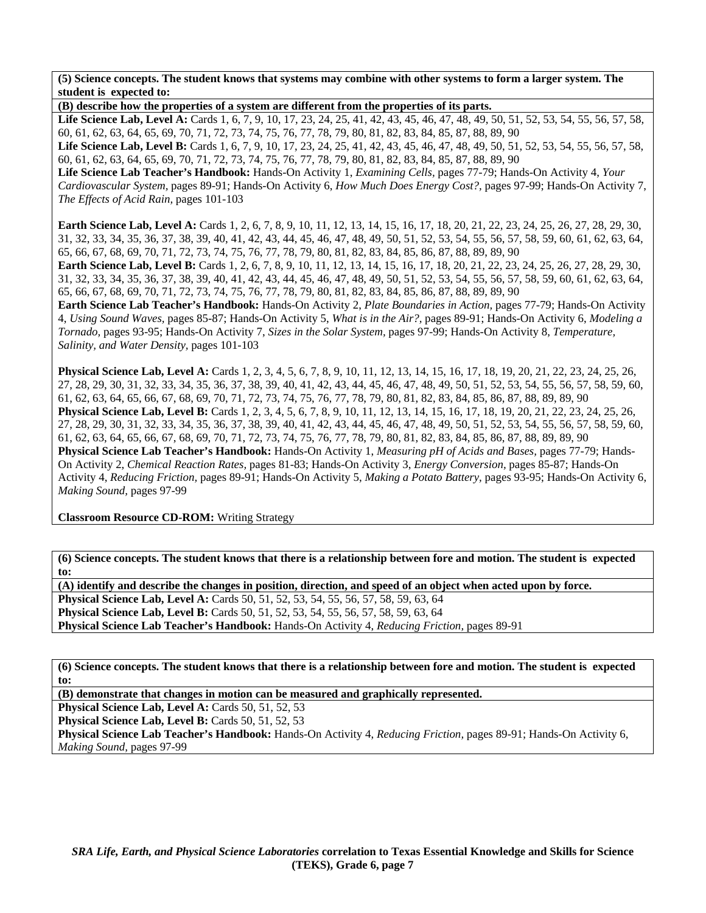**(5) Science concepts. The student knows that systems may combine with other systems to form a larger system. The student is expected to:** 

**(B) describe how the properties of a system are different from the properties of its parts.** 

Life Science Lab, Level A: Cards 1, 6, 7, 9, 10, 17, 23, 24, 25, 41, 42, 43, 45, 46, 47, 48, 49, 50, 51, 52, 53, 54, 55, 56, 57, 58, 60, 61, 62, 63, 64, 65, 69, 70, 71, 72, 73, 74, 75, 76, 77, 78, 79, 80, 81, 82, 83, 84, 85, 87, 88, 89, 90 Life Science Lab, Level B: Cards 1, 6, 7, 9, 10, 17, 23, 24, 25, 41, 42, 43, 45, 46, 47, 48, 49, 50, 51, 52, 53, 54, 55, 56, 57, 58, 60, 61, 62, 63, 64, 65, 69, 70, 71, 72, 73, 74, 75, 76, 77, 78, 79, 80, 81, 82, 83, 84, 85, 87, 88, 89, 90 **Life Science Lab Teacher's Handbook:** Hands-On Activity 1, *Examining Cells,* pages 77-79; Hands-On Activity 4, *Your Cardiovascular System,* pages 89-91; Hands-On Activity 6, *How Much Does Energy Cost?,* pages 97-99; Hands-On Activity 7,

*The Effects of Acid Rain,* pages 101-103

**Earth Science Lab, Level A:** Cards 1, 2, 6, 7, 8, 9, 10, 11, 12, 13, 14, 15, 16, 17, 18, 20, 21, 22, 23, 24, 25, 26, 27, 28, 29, 30, 31, 32, 33, 34, 35, 36, 37, 38, 39, 40, 41, 42, 43, 44, 45, 46, 47, 48, 49, 50, 51, 52, 53, 54, 55, 56, 57, 58, 59, 60, 61, 62, 63, 64, 65, 66, 67, 68, 69, 70, 71, 72, 73, 74, 75, 76, 77, 78, 79, 80, 81, 82, 83, 84, 85, 86, 87, 88, 89, 89, 90

Earth Science Lab, Level B: Cards 1, 2, 6, 7, 8, 9, 10, 11, 12, 13, 14, 15, 16, 17, 18, 20, 21, 22, 23, 24, 25, 26, 27, 28, 29, 30, 31, 32, 33, 34, 35, 36, 37, 38, 39, 40, 41, 42, 43, 44, 45, 46, 47, 48, 49, 50, 51, 52, 53, 54, 55, 56, 57, 58, 59, 60, 61, 62, 63, 64, 65, 66, 67, 68, 69, 70, 71, 72, 73, 74, 75, 76, 77, 78, 79, 80, 81, 82, 83, 84, 85, 86, 87, 88, 89, 89, 90

**Earth Science Lab Teacher's Handbook:** Hands-On Activity 2, *Plate Boundaries in Action,* pages 77-79; Hands-On Activity 4, *Using Sound Waves,* pages 85-87; Hands-On Activity 5, *What is in the Air?,* pages 89-91; Hands-On Activity 6, *Modeling a Tornado,* pages 93-95; Hands-On Activity 7, *Sizes in the Solar System,* pages 97-99; Hands-On Activity 8, *Temperature, Salinity, and Water Density,* pages 101-103

**Physical Science Lab, Level A:** Cards 1, 2, 3, 4, 5, 6, 7, 8, 9, 10, 11, 12, 13, 14, 15, 16, 17, 18, 19, 20, 21, 22, 23, 24, 25, 26, 27, 28, 29, 30, 31, 32, 33, 34, 35, 36, 37, 38, 39, 40, 41, 42, 43, 44, 45, 46, 47, 48, 49, 50, 51, 52, 53, 54, 55, 56, 57, 58, 59, 60, 61, 62, 63, 64, 65, 66, 67, 68, 69, 70, 71, 72, 73, 74, 75, 76, 77, 78, 79, 80, 81, 82, 83, 84, 85, 86, 87, 88, 89, 89, 90 **Physical Science Lab, Level B:** Cards 1, 2, 3, 4, 5, 6, 7, 8, 9, 10, 11, 12, 13, 14, 15, 16, 17, 18, 19, 20, 21, 22, 23, 24, 25, 26, 27, 28, 29, 30, 31, 32, 33, 34, 35, 36, 37, 38, 39, 40, 41, 42, 43, 44, 45, 46, 47, 48, 49, 50, 51, 52, 53, 54, 55, 56, 57, 58, 59, 60, 61, 62, 63, 64, 65, 66, 67, 68, 69, 70, 71, 72, 73, 74, 75, 76, 77, 78, 79, 80, 81, 82, 83, 84, 85, 86, 87, 88, 89, 89, 90 **Physical Science Lab Teacher's Handbook:** Hands-On Activity 1, *Measuring pH of Acids and Bases,* pages 77-79; Hands-On Activity 2, *Chemical Reaction Rates,* pages 81-83; Hands-On Activity 3, *Energy Conversion,* pages 85-87; Hands-On Activity 4, *Reducing Friction,* pages 89-91; Hands-On Activity 5, *Making a Potato Battery,* pages 93-95; Hands-On Activity 6, *Making Sound,* pages 97-99

**Classroom Resource CD-ROM:** Writing Strategy

**(6) Science concepts. The student knows that there is a relationship between fore and motion. The student is expected to:** 

**(A) identify and describe the changes in position, direction, and speed of an object when acted upon by force. Physical Science Lab, Level A:** Cards 50, 51, 52, 53, 54, 55, 56, 57, 58, 59, 63, 64 **Physical Science Lab, Level B:** Cards 50, 51, 52, 53, 54, 55, 56, 57, 58, 59, 63, 64 **Physical Science Lab Teacher's Handbook:** Hands-On Activity 4, *Reducing Friction,* pages 89-91

**(6) Science concepts. The student knows that there is a relationship between fore and motion. The student is expected to:** 

**(B) demonstrate that changes in motion can be measured and graphically represented.** 

Physical Science Lab, Level A: Cards 50, 51, 52, 53

**Physical Science Lab, Level B: Cards 50, 51, 52, 53** 

**Physical Science Lab Teacher's Handbook:** Hands-On Activity 4, *Reducing Friction,* pages 89-91; Hands-On Activity 6, *Making Sound,* pages 97-99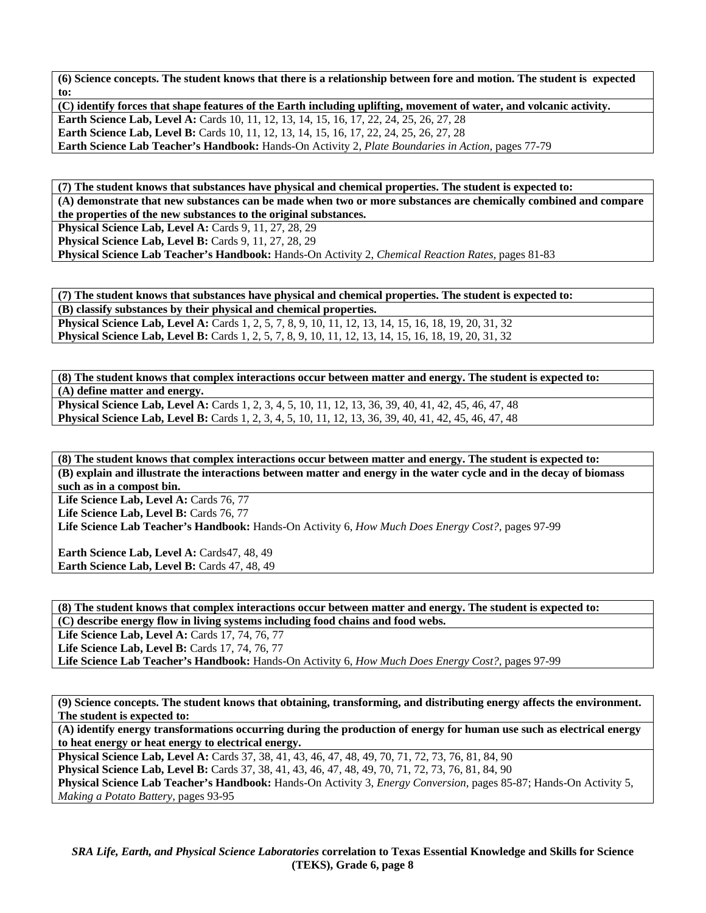**(6) Science concepts. The student knows that there is a relationship between fore and motion. The student is expected to:** 

**(C) identify forces that shape features of the Earth including uplifting, movement of water, and volcanic activity.**  Earth Science Lab, Level A: Cards 10, 11, 12, 13, 14, 15, 16, 17, 22, 24, 25, 26, 27, 28 Earth Science Lab, Level B: Cards 10, 11, 12, 13, 14, 15, 16, 17, 22, 24, 25, 26, 27, 28 **Earth Science Lab Teacher's Handbook:** Hands-On Activity 2, *Plate Boundaries in Action,* pages 77-79

**(7) The student knows that substances have physical and chemical properties. The student is expected to: (A) demonstrate that new substances can be made when two or more substances are chemically combined and compare the properties of the new substances to the original substances.** 

**Physical Science Lab, Level A: Cards 9, 11, 27, 28, 29 Physical Science Lab, Level B: Cards 9, 11, 27, 28, 29** 

**Physical Science Lab Teacher's Handbook:** Hands-On Activity 2, *Chemical Reaction Rates,* pages 81-83

**(7) The student knows that substances have physical and chemical properties. The student is expected to: (B) classify substances by their physical and chemical properties. Physical Science Lab, Level A:** Cards 1, 2, 5, 7, 8, 9, 10, 11, 12, 13, 14, 15, 16, 18, 19, 20, 31, 32 **Physical Science Lab, Level B:** Cards 1, 2, 5, 7, 8, 9, 10, 11, 12, 13, 14, 15, 16, 18, 19, 20, 31, 32

**(8) The student knows that complex interactions occur between matter and energy. The student is expected to: (A) define matter and energy. Physical Science Lab, Level A:** Cards 1, 2, 3, 4, 5, 10, 11, 12, 13, 36, 39, 40, 41, 42, 45, 46, 47, 48

**Physical Science Lab, Level B:** Cards 1, 2, 3, 4, 5, 10, 11, 12, 13, 36, 39, 40, 41, 42, 45, 46, 47, 48

**(8) The student knows that complex interactions occur between matter and energy. The student is expected to: (B) explain and illustrate the interactions between matter and energy in the water cycle and in the decay of biomass such as in a compost bin.** 

Life Science Lab, Level A: Cards 76, 77

Life Science Lab, Level B: Cards 76, 77

**Life Science Lab Teacher's Handbook:** Hands-On Activity 6, *How Much Does Energy Cost?,* pages 97-99

Earth Science Lab, Level A: Cards47, 48, 49 Earth Science Lab, Level B: Cards 47, 48, 49

**(8) The student knows that complex interactions occur between matter and energy. The student is expected to: (C) describe energy flow in living systems including food chains and food webs.** 

Life Science Lab, Level A: Cards 17, 74, 76, 77

**Life Science Lab, Level B: Cards 17, 74, 76, 77** 

**Life Science Lab Teacher's Handbook:** Hands-On Activity 6, *How Much Does Energy Cost?,* pages 97-99

**(9) Science concepts. The student knows that obtaining, transforming, and distributing energy affects the environment. The student is expected to:** 

**(A) identify energy transformations occurring during the production of energy for human use such as electrical energy to heat energy or heat energy to electrical energy.** 

**Physical Science Lab, Level A:** Cards 37, 38, 41, 43, 46, 47, 48, 49, 70, 71, 72, 73, 76, 81, 84, 90

**Physical Science Lab, Level B:** Cards 37, 38, 41, 43, 46, 47, 48, 49, 70, 71, 72, 73, 76, 81, 84, 90

**Physical Science Lab Teacher's Handbook:** Hands-On Activity 3, *Energy Conversion,* pages 85-87; Hands-On Activity 5, *Making a Potato Battery,* pages 93-95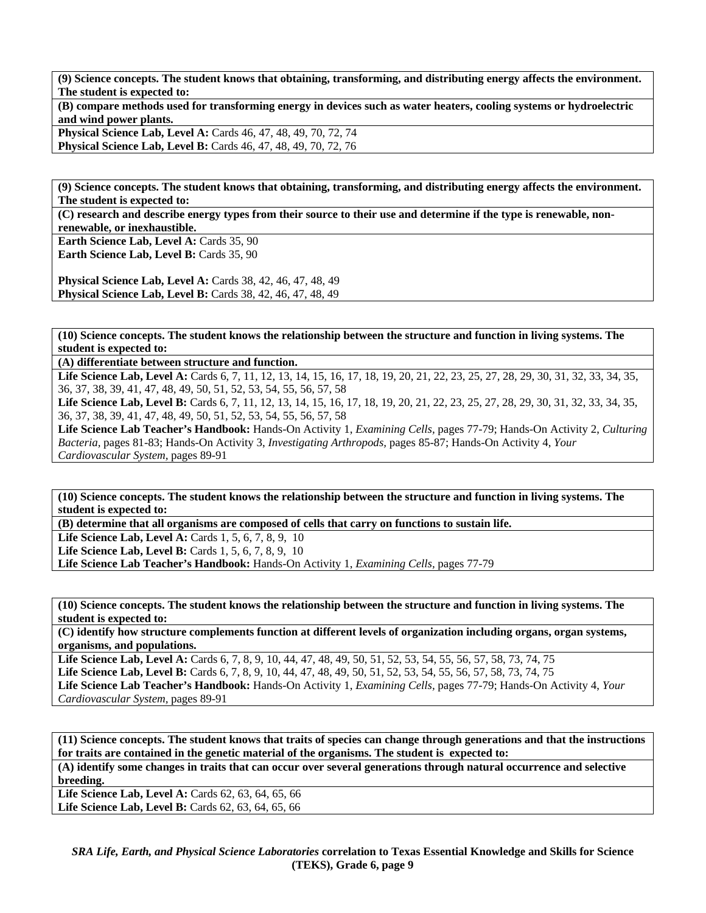**(9) Science concepts. The student knows that obtaining, transforming, and distributing energy affects the environment. The student is expected to:** 

**(B) compare methods used for transforming energy in devices such as water heaters, cooling systems or hydroelectric and wind power plants.** 

**Physical Science Lab, Level A:** Cards 46, 47, 48, 49, 70, 72, 74 **Physical Science Lab, Level B:** Cards 46, 47, 48, 49, 70, 72, 76

**(9) Science concepts. The student knows that obtaining, transforming, and distributing energy affects the environment. The student is expected to:** 

**(C) research and describe energy types from their source to their use and determine if the type is renewable, nonrenewable, or inexhaustible.** 

**Earth Science Lab, Level A: Cards 35, 90** Earth Science Lab, Level B: Cards 35, 90

**Physical Science Lab, Level A:** Cards 38, 42, 46, 47, 48, 49 **Physical Science Lab, Level B:** Cards 38, 42, 46, 47, 48, 49

**(10) Science concepts. The student knows the relationship between the structure and function in living systems. The student is expected to:** 

**(A) differentiate between structure and function.** 

Life Science Lab, Level A: Cards 6, 7, 11, 12, 13, 14, 15, 16, 17, 18, 19, 20, 21, 22, 23, 25, 27, 28, 29, 30, 31, 32, 33, 34, 35, 36, 37, 38, 39, 41, 47, 48, 49, 50, 51, 52, 53, 54, 55, 56, 57, 58

Life Science Lab, Level B: Cards 6, 7, 11, 12, 13, 14, 15, 16, 17, 18, 19, 20, 21, 22, 23, 25, 27, 28, 29, 30, 31, 32, 33, 34, 35, 36, 37, 38, 39, 41, 47, 48, 49, 50, 51, 52, 53, 54, 55, 56, 57, 58

**Life Science Lab Teacher's Handbook:** Hands-On Activity 1, *Examining Cells,* pages 77-79; Hands-On Activity 2, *Culturing Bacteria,* pages 81-83; Hands-On Activity 3, *Investigating Arthropods,* pages 85-87; Hands-On Activity 4, *Your Cardiovascular System,* pages 89-91

**(10) Science concepts. The student knows the relationship between the structure and function in living systems. The student is expected to:** 

**(B) determine that all organisms are composed of cells that carry on functions to sustain life.** 

**Life Science Lab, Level A: Cards 1, 5, 6, 7, 8, 9, 10** 

**Life Science Lab, Level B:** Cards 1, 5, 6, 7, 8, 9, 10

**Life Science Lab Teacher's Handbook:** Hands-On Activity 1, *Examining Cells,* pages 77-79

**(10) Science concepts. The student knows the relationship between the structure and function in living systems. The student is expected to:** 

**(C) identify how structure complements function at different levels of organization including organs, organ systems, organisms, and populations.** 

Life Science Lab, Level A: Cards 6, 7, 8, 9, 10, 44, 47, 48, 49, 50, 51, 52, 53, 54, 55, 56, 57, 58, 73, 74, 75 Life Science Lab, Level B: Cards 6, 7, 8, 9, 10, 44, 47, 48, 49, 50, 51, 52, 53, 54, 55, 56, 57, 58, 73, 74, 75 **Life Science Lab Teacher's Handbook:** Hands-On Activity 1, *Examining Cells,* pages 77-79; Hands-On Activity 4, *Your Cardiovascular System,* pages 89-91

**(11) Science concepts. The student knows that traits of species can change through generations and that the instructions for traits are contained in the genetic material of the organisms. The student is expected to:** 

**(A) identify some changes in traits that can occur over several generations through natural occurrence and selective breeding.** 

**Life Science Lab, Level A: Cards 62, 63, 64, 65, 66** Life Science Lab, Level B: Cards 62, 63, 64, 65, 66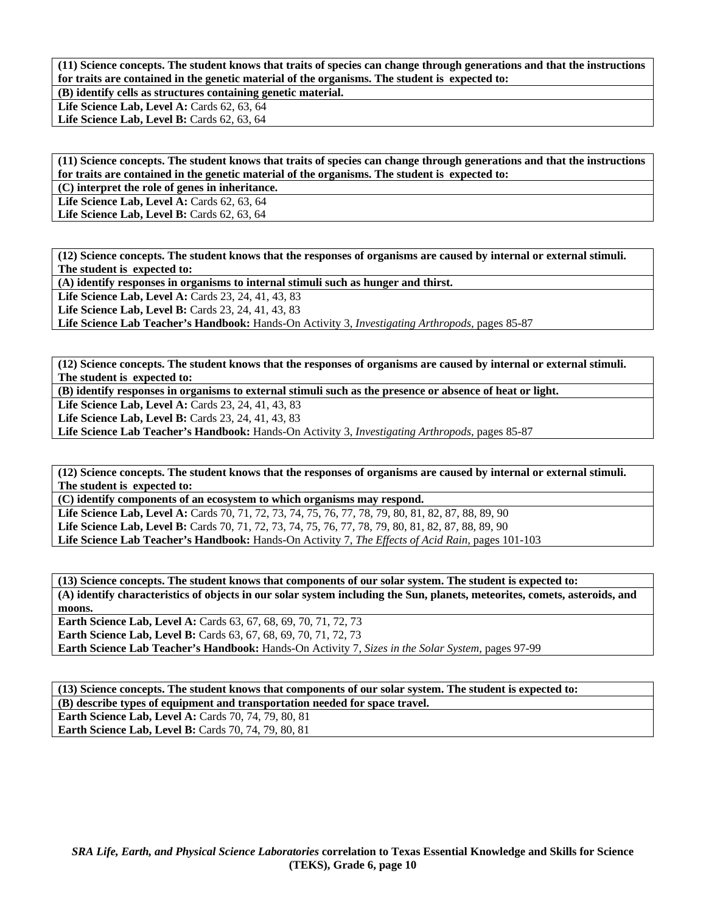**(11) Science concepts. The student knows that traits of species can change through generations and that the instructions for traits are contained in the genetic material of the organisms. The student is expected to:** 

**(B) identify cells as structures containing genetic material. Life Science Lab, Level A: Cards 62, 63, 64** 

Life Science Lab, Level B: Cards 62, 63, 64

**(11) Science concepts. The student knows that traits of species can change through generations and that the instructions for traits are contained in the genetic material of the organisms. The student is expected to:** 

**(C) interpret the role of genes in inheritance.** 

**Life Science Lab, Level A: Cards 62, 63, 64** 

**Life Science Lab, Level B: Cards 62, 63, 64** 

**(12) Science concepts. The student knows that the responses of organisms are caused by internal or external stimuli. The student is expected to:** 

**(A) identify responses in organisms to internal stimuli such as hunger and thirst.** 

Life Science Lab, Level A: Cards 23, 24, 41, 43, 83

**Life Science Lab, Level B: Cards 23, 24, 41, 43, 83** 

**Life Science Lab Teacher's Handbook:** Hands-On Activity 3, *Investigating Arthropods,* pages 85-87

**(12) Science concepts. The student knows that the responses of organisms are caused by internal or external stimuli. The student is expected to:** 

**(B) identify responses in organisms to external stimuli such as the presence or absence of heat or light.** 

**Life Science Lab, Level A: Cards 23, 24, 41, 43, 83** 

Life Science Lab, Level B: Cards 23, 24, 41, 43, 83

**Life Science Lab Teacher's Handbook:** Hands-On Activity 3, *Investigating Arthropods,* pages 85-87

**(12) Science concepts. The student knows that the responses of organisms are caused by internal or external stimuli. The student is expected to:** 

**(C) identify components of an ecosystem to which organisms may respond.** 

**Life Science Lab, Level A:** Cards 70, 71, 72, 73, 74, 75, 76, 77, 78, 79, 80, 81, 82, 87, 88, 89, 90 **Life Science Lab, Level B:** Cards 70, 71, 72, 73, 74, 75, 76, 77, 78, 79, 80, 81, 82, 87, 88, 89, 90 **Life Science Lab Teacher's Handbook:** Hands-On Activity 7, *The Effects of Acid Rain,* pages 101-103

**(13) Science concepts. The student knows that components of our solar system. The student is expected to: (A) identify characteristics of objects in our solar system including the Sun, planets, meteorites, comets, asteroids, and moons. Earth Science Lab, Level A: Cards 63, 67, 68, 69, 70, 71, 72, 73** 

**Earth Science Lab, Level B:** Cards 63, 67, 68, 69, 70, 71, 72, 73 **Earth Science Lab Teacher's Handbook:** Hands-On Activity 7, *Sizes in the Solar System,* pages 97-99

**(13) Science concepts. The student knows that components of our solar system. The student is expected to: (B) describe types of equipment and transportation needed for space travel. Earth Science Lab, Level A: Cards 70, 74, 79, 80, 81 Earth Science Lab, Level B: Cards 70, 74, 79, 80, 81**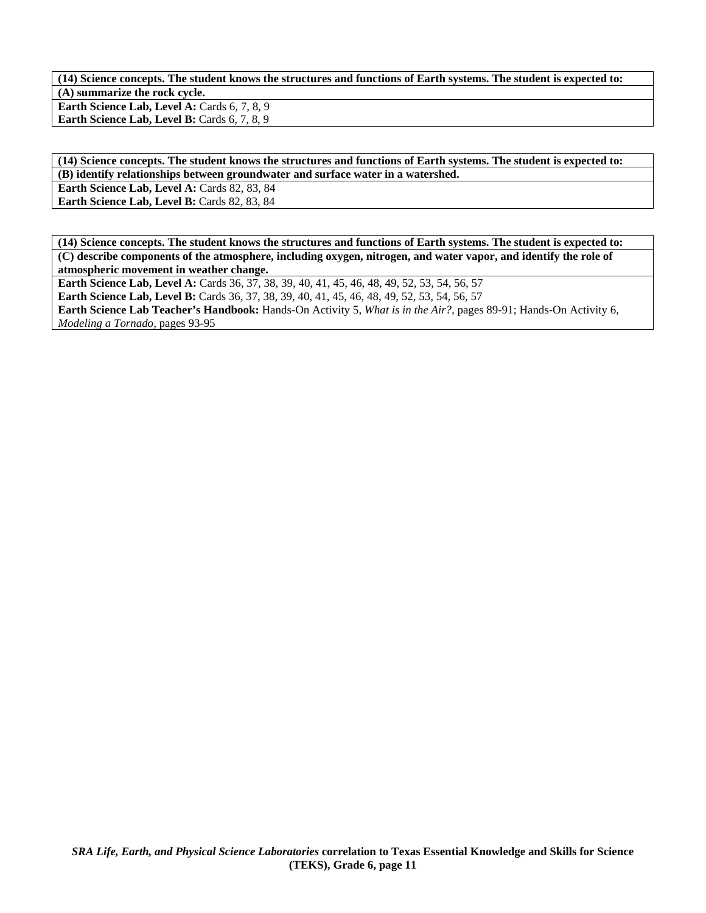**(14) Science concepts. The student knows the structures and functions of Earth systems. The student is expected to: (A) summarize the rock cycle. Earth Science Lab, Level A: Cards 6, 7, 8, 9** Earth Science Lab, Level B: Cards 6, 7, 8, 9

**(14) Science concepts. The student knows the structures and functions of Earth systems. The student is expected to: (B) identify relationships between groundwater and surface water in a watershed.** 

Earth Science Lab, Level A: Cards 82, 83, 84

Earth Science Lab, Level B: Cards 82, 83, 84

**(14) Science concepts. The student knows the structures and functions of Earth systems. The student is expected to: (C) describe components of the atmosphere, including oxygen, nitrogen, and water vapor, and identify the role of atmospheric movement in weather change.** 

**Earth Science Lab, Level A:** Cards 36, 37, 38, 39, 40, 41, 45, 46, 48, 49, 52, 53, 54, 56, 57

Earth Science Lab, Level B: Cards 36, 37, 38, 39, 40, 41, 45, 46, 48, 49, 52, 53, 54, 56, 57

**Earth Science Lab Teacher's Handbook:** Hands-On Activity 5, *What is in the Air?,* pages 89-91; Hands-On Activity 6, *Modeling a Tornado,* pages 93-95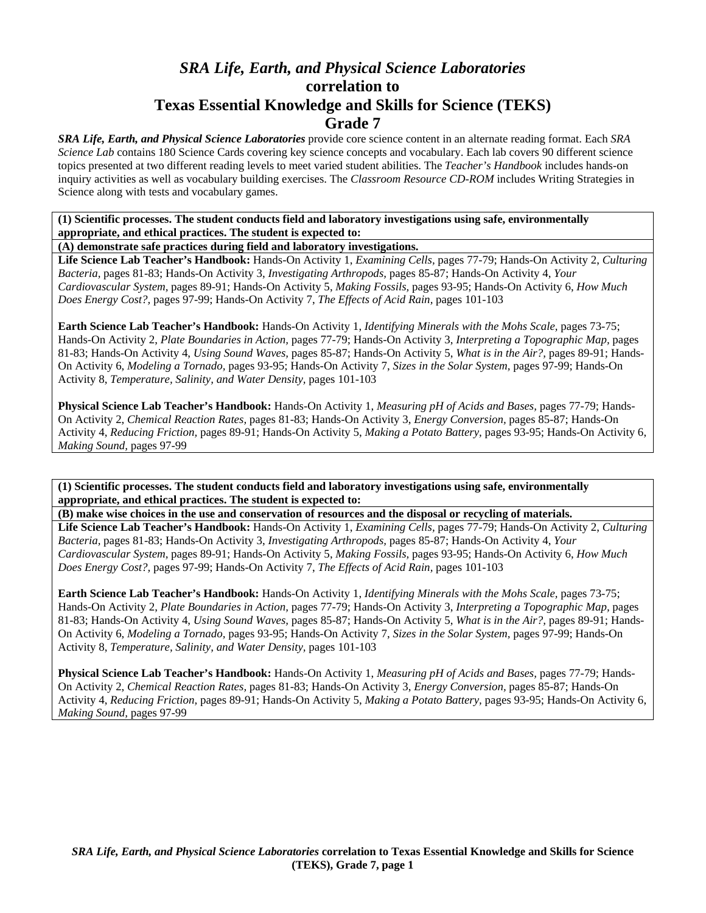# *SRA Life, Earth, and Physical Science Laboratories*  **correlation to Texas Essential Knowledge and Skills for Science (TEKS) Grade 7**

*SRA Life, Earth, and Physical Science Laboratories* provide core science content in an alternate reading format. Each *SRA Science Lab* contains 180 Science Cards covering key science concepts and vocabulary. Each lab covers 90 different science topics presented at two different reading levels to meet varied student abilities. The *Teacher's Handbook* includes hands-on inquiry activities as well as vocabulary building exercises. The *Classroom Resource CD-ROM* includes Writing Strategies in Science along with tests and vocabulary games.

**(1) Scientific processes. The student conducts field and laboratory investigations using safe, environmentally appropriate, and ethical practices. The student is expected to:** 

**(A) demonstrate safe practices during field and laboratory investigations.** 

**Life Science Lab Teacher's Handbook:** Hands-On Activity 1, *Examining Cells,* pages 77-79; Hands-On Activity 2, *Culturing Bacteria,* pages 81-83; Hands-On Activity 3, *Investigating Arthropods,* pages 85-87; Hands-On Activity 4, *Your Cardiovascular System,* pages 89-91; Hands-On Activity 5, *Making Fossils,* pages 93-95; Hands-On Activity 6, *How Much Does Energy Cost?,* pages 97-99; Hands-On Activity 7, *The Effects of Acid Rain,* pages 101-103

**Earth Science Lab Teacher's Handbook:** Hands-On Activity 1, *Identifying Minerals with the Mohs Scale,* pages 73-75; Hands-On Activity 2, *Plate Boundaries in Action,* pages 77-79; Hands-On Activity 3, *Interpreting a Topographic Map,* pages 81-83; Hands-On Activity 4, *Using Sound Waves,* pages 85-87; Hands-On Activity 5, *What is in the Air?,* pages 89-91; Hands-On Activity 6, *Modeling a Tornado,* pages 93-95; Hands-On Activity 7, *Sizes in the Solar System,* pages 97-99; Hands-On Activity 8, *Temperature, Salinity, and Water Density,* pages 101-103

**Physical Science Lab Teacher's Handbook:** Hands-On Activity 1, *Measuring pH of Acids and Bases,* pages 77-79; Hands-On Activity 2, *Chemical Reaction Rates,* pages 81-83; Hands-On Activity 3, *Energy Conversion,* pages 85-87; Hands-On Activity 4, *Reducing Friction,* pages 89-91; Hands-On Activity 5, *Making a Potato Battery,* pages 93-95; Hands-On Activity 6, *Making Sound,* pages 97-99

**(1) Scientific processes. The student conducts field and laboratory investigations using safe, environmentally appropriate, and ethical practices. The student is expected to:** 

**(B) make wise choices in the use and conservation of resources and the disposal or recycling of materials.** 

**Life Science Lab Teacher's Handbook:** Hands-On Activity 1, *Examining Cells,* pages 77-79; Hands-On Activity 2, *Culturing Bacteria,* pages 81-83; Hands-On Activity 3, *Investigating Arthropods,* pages 85-87; Hands-On Activity 4, *Your Cardiovascular System,* pages 89-91; Hands-On Activity 5, *Making Fossils,* pages 93-95; Hands-On Activity 6, *How Much Does Energy Cost?,* pages 97-99; Hands-On Activity 7, *The Effects of Acid Rain,* pages 101-103

**Earth Science Lab Teacher's Handbook:** Hands-On Activity 1, *Identifying Minerals with the Mohs Scale,* pages 73-75; Hands-On Activity 2, *Plate Boundaries in Action,* pages 77-79; Hands-On Activity 3, *Interpreting a Topographic Map,* pages 81-83; Hands-On Activity 4, *Using Sound Waves,* pages 85-87; Hands-On Activity 5, *What is in the Air?,* pages 89-91; Hands-On Activity 6, *Modeling a Tornado,* pages 93-95; Hands-On Activity 7, *Sizes in the Solar System,* pages 97-99; Hands-On Activity 8, *Temperature, Salinity, and Water Density,* pages 101-103

**Physical Science Lab Teacher's Handbook:** Hands-On Activity 1, *Measuring pH of Acids and Bases,* pages 77-79; Hands-On Activity 2, *Chemical Reaction Rates,* pages 81-83; Hands-On Activity 3, *Energy Conversion,* pages 85-87; Hands-On Activity 4, *Reducing Friction,* pages 89-91; Hands-On Activity 5, *Making a Potato Battery,* pages 93-95; Hands-On Activity 6, *Making Sound,* pages 97-99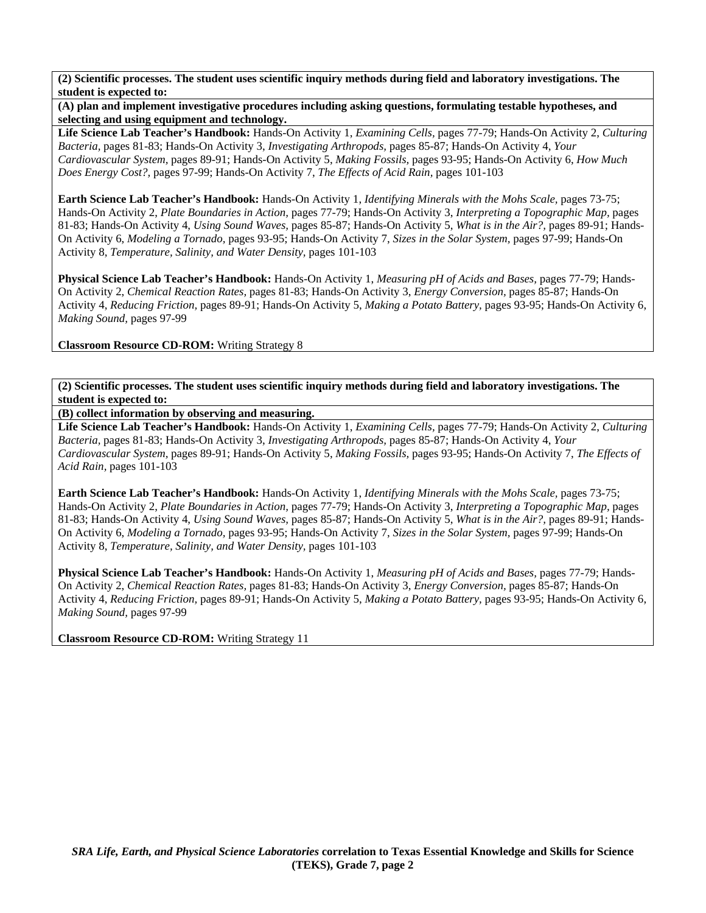**(A) plan and implement investigative procedures including asking questions, formulating testable hypotheses, and selecting and using equipment and technology.** 

**Life Science Lab Teacher's Handbook:** Hands-On Activity 1, *Examining Cells,* pages 77-79; Hands-On Activity 2, *Culturing Bacteria,* pages 81-83; Hands-On Activity 3, *Investigating Arthropods,* pages 85-87; Hands-On Activity 4, *Your Cardiovascular System,* pages 89-91; Hands-On Activity 5, *Making Fossils,* pages 93-95; Hands-On Activity 6, *How Much Does Energy Cost?,* pages 97-99; Hands-On Activity 7, *The Effects of Acid Rain,* pages 101-103

**Earth Science Lab Teacher's Handbook:** Hands-On Activity 1, *Identifying Minerals with the Mohs Scale,* pages 73-75; Hands-On Activity 2, *Plate Boundaries in Action,* pages 77-79; Hands-On Activity 3, *Interpreting a Topographic Map,* pages 81-83; Hands-On Activity 4, *Using Sound Waves,* pages 85-87; Hands-On Activity 5, *What is in the Air?,* pages 89-91; Hands-On Activity 6, *Modeling a Tornado,* pages 93-95; Hands-On Activity 7, *Sizes in the Solar System,* pages 97-99; Hands-On Activity 8, *Temperature, Salinity, and Water Density,* pages 101-103

**Physical Science Lab Teacher's Handbook:** Hands-On Activity 1, *Measuring pH of Acids and Bases,* pages 77-79; Hands-On Activity 2, *Chemical Reaction Rates,* pages 81-83; Hands-On Activity 3, *Energy Conversion,* pages 85-87; Hands-On Activity 4, *Reducing Friction,* pages 89-91; Hands-On Activity 5, *Making a Potato Battery,* pages 93-95; Hands-On Activity 6, *Making Sound,* pages 97-99

**Classroom Resource CD-ROM:** Writing Strategy 8

**(2) Scientific processes. The student uses scientific inquiry methods during field and laboratory investigations. The student is expected to:** 

**(B) collect information by observing and measuring.** 

**Life Science Lab Teacher's Handbook:** Hands-On Activity 1, *Examining Cells,* pages 77-79; Hands-On Activity 2, *Culturing Bacteria,* pages 81-83; Hands-On Activity 3, *Investigating Arthropods,* pages 85-87; Hands-On Activity 4, *Your Cardiovascular System,* pages 89-91; Hands-On Activity 5, *Making Fossils,* pages 93-95; Hands-On Activity 7, *The Effects of Acid Rain,* pages 101-103

**Earth Science Lab Teacher's Handbook:** Hands-On Activity 1, *Identifying Minerals with the Mohs Scale,* pages 73-75; Hands-On Activity 2, *Plate Boundaries in Action,* pages 77-79; Hands-On Activity 3, *Interpreting a Topographic Map,* pages 81-83; Hands-On Activity 4, *Using Sound Waves,* pages 85-87; Hands-On Activity 5, *What is in the Air?,* pages 89-91; Hands-On Activity 6, *Modeling a Tornado,* pages 93-95; Hands-On Activity 7, *Sizes in the Solar System,* pages 97-99; Hands-On Activity 8, *Temperature, Salinity, and Water Density,* pages 101-103

**Physical Science Lab Teacher's Handbook:** Hands-On Activity 1, *Measuring pH of Acids and Bases,* pages 77-79; Hands-On Activity 2, *Chemical Reaction Rates,* pages 81-83; Hands-On Activity 3, *Energy Conversion,* pages 85-87; Hands-On Activity 4, *Reducing Friction,* pages 89-91; Hands-On Activity 5, *Making a Potato Battery,* pages 93-95; Hands-On Activity 6, *Making Sound,* pages 97-99

**Classroom Resource CD-ROM:** Writing Strategy 11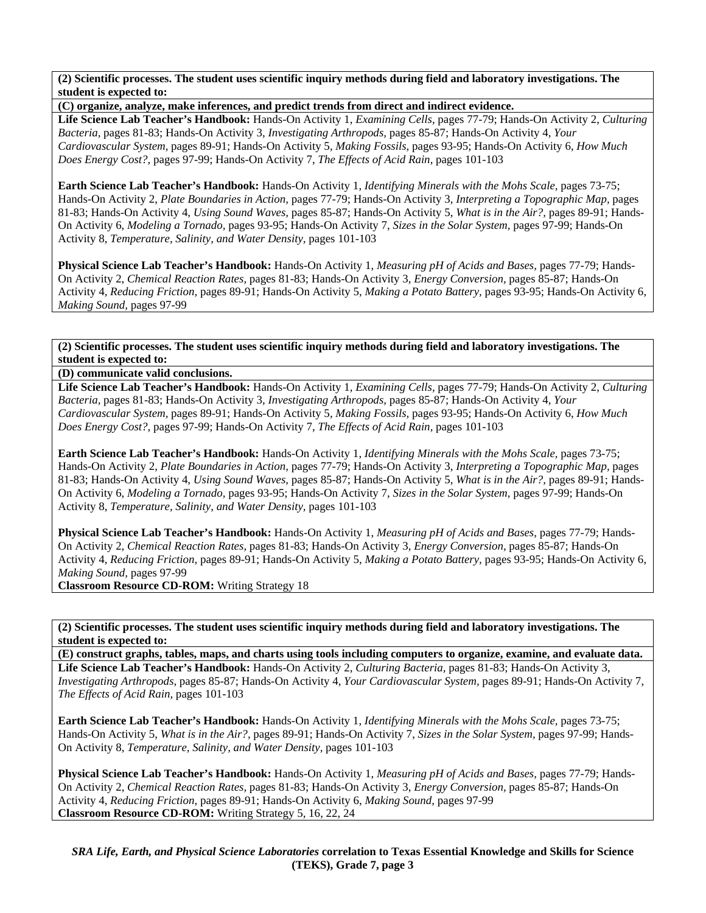**(C) organize, analyze, make inferences, and predict trends from direct and indirect evidence.** 

**Life Science Lab Teacher's Handbook:** Hands-On Activity 1, *Examining Cells,* pages 77-79; Hands-On Activity 2, *Culturing Bacteria,* pages 81-83; Hands-On Activity 3, *Investigating Arthropods,* pages 85-87; Hands-On Activity 4, *Your Cardiovascular System,* pages 89-91; Hands-On Activity 5, *Making Fossils,* pages 93-95; Hands-On Activity 6, *How Much Does Energy Cost?,* pages 97-99; Hands-On Activity 7, *The Effects of Acid Rain,* pages 101-103

**Earth Science Lab Teacher's Handbook:** Hands-On Activity 1, *Identifying Minerals with the Mohs Scale,* pages 73-75; Hands-On Activity 2, *Plate Boundaries in Action,* pages 77-79; Hands-On Activity 3, *Interpreting a Topographic Map,* pages 81-83; Hands-On Activity 4, *Using Sound Waves,* pages 85-87; Hands-On Activity 5, *What is in the Air?,* pages 89-91; Hands-On Activity 6, *Modeling a Tornado,* pages 93-95; Hands-On Activity 7, *Sizes in the Solar System,* pages 97-99; Hands-On Activity 8, *Temperature, Salinity, and Water Density,* pages 101-103

**Physical Science Lab Teacher's Handbook:** Hands-On Activity 1, *Measuring pH of Acids and Bases,* pages 77-79; Hands-On Activity 2, *Chemical Reaction Rates,* pages 81-83; Hands-On Activity 3, *Energy Conversion,* pages 85-87; Hands-On Activity 4, *Reducing Friction,* pages 89-91; Hands-On Activity 5, *Making a Potato Battery,* pages 93-95; Hands-On Activity 6, *Making Sound,* pages 97-99

**(2) Scientific processes. The student uses scientific inquiry methods during field and laboratory investigations. The student is expected to:** 

#### **(D) communicate valid conclusions.**

**Life Science Lab Teacher's Handbook:** Hands-On Activity 1, *Examining Cells,* pages 77-79; Hands-On Activity 2, *Culturing Bacteria,* pages 81-83; Hands-On Activity 3, *Investigating Arthropods,* pages 85-87; Hands-On Activity 4, *Your Cardiovascular System,* pages 89-91; Hands-On Activity 5, *Making Fossils,* pages 93-95; Hands-On Activity 6, *How Much Does Energy Cost?,* pages 97-99; Hands-On Activity 7, *The Effects of Acid Rain,* pages 101-103

**Earth Science Lab Teacher's Handbook:** Hands-On Activity 1, *Identifying Minerals with the Mohs Scale,* pages 73-75; Hands-On Activity 2, *Plate Boundaries in Action,* pages 77-79; Hands-On Activity 3, *Interpreting a Topographic Map,* pages 81-83; Hands-On Activity 4, *Using Sound Waves,* pages 85-87; Hands-On Activity 5, *What is in the Air?,* pages 89-91; Hands-On Activity 6, *Modeling a Tornado,* pages 93-95; Hands-On Activity 7, *Sizes in the Solar System,* pages 97-99; Hands-On Activity 8, *Temperature, Salinity, and Water Density,* pages 101-103

**Physical Science Lab Teacher's Handbook:** Hands-On Activity 1, *Measuring pH of Acids and Bases,* pages 77-79; Hands-On Activity 2, *Chemical Reaction Rates,* pages 81-83; Hands-On Activity 3, *Energy Conversion,* pages 85-87; Hands-On Activity 4, *Reducing Friction,* pages 89-91; Hands-On Activity 5, *Making a Potato Battery,* pages 93-95; Hands-On Activity 6, *Making Sound,* pages 97-99

**Classroom Resource CD-ROM:** Writing Strategy 18

**(2) Scientific processes. The student uses scientific inquiry methods during field and laboratory investigations. The student is expected to:** 

**(E) construct graphs, tables, maps, and charts using tools including computers to organize, examine, and evaluate data. Life Science Lab Teacher's Handbook:** Hands-On Activity 2, *Culturing Bacteria,* pages 81-83; Hands-On Activity 3, *Investigating Arthropods,* pages 85-87; Hands-On Activity 4, *Your Cardiovascular System,* pages 89-91; Hands-On Activity 7, *The Effects of Acid Rain,* pages 101-103

**Earth Science Lab Teacher's Handbook:** Hands-On Activity 1, *Identifying Minerals with the Mohs Scale,* pages 73-75; Hands-On Activity 5, *What is in the Air?,* pages 89-91; Hands-On Activity 7, *Sizes in the Solar System,* pages 97-99; Hands-On Activity 8, *Temperature, Salinity, and Water Density,* pages 101-103

**Physical Science Lab Teacher's Handbook:** Hands-On Activity 1, *Measuring pH of Acids and Bases,* pages 77-79; Hands-On Activity 2, *Chemical Reaction Rates,* pages 81-83; Hands-On Activity 3, *Energy Conversion,* pages 85-87; Hands-On Activity 4, *Reducing Friction,* pages 89-91; Hands-On Activity 6, *Making Sound,* pages 97-99 **Classroom Resource CD-ROM:** Writing Strategy 5, 16, 22, 24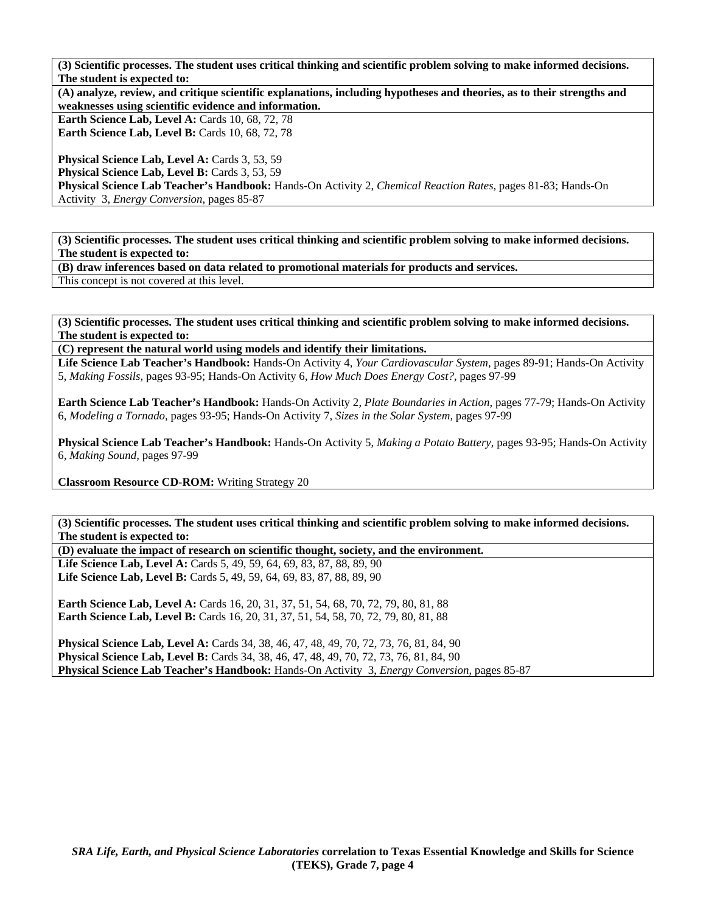**(A) analyze, review, and critique scientific explanations, including hypotheses and theories, as to their strengths and weaknesses using scientific evidence and information.** 

**Earth Science Lab, Level A: Cards 10, 68, 72, 78 Earth Science Lab, Level B: Cards 10, 68, 72, 78** 

Physical Science Lab, Level A: Cards 3, 53, 59 **Physical Science Lab, Level B: Cards 3, 53, 59 Physical Science Lab Teacher's Handbook:** Hands-On Activity 2, *Chemical Reaction Rates,* pages 81-83; Hands-On Activity 3, *Energy Conversion,* pages 85-87

**(3) Scientific processes. The student uses critical thinking and scientific problem solving to make informed decisions. The student is expected to:** 

**(B) draw inferences based on data related to promotional materials for products and services.** 

This concept is not covered at this level.

**(3) Scientific processes. The student uses critical thinking and scientific problem solving to make informed decisions. The student is expected to:** 

**(C) represent the natural world using models and identify their limitations.** 

**Life Science Lab Teacher's Handbook:** Hands-On Activity 4, *Your Cardiovascular System,* pages 89-91; Hands-On Activity 5, *Making Fossils,* pages 93-95; Hands-On Activity 6, *How Much Does Energy Cost?,* pages 97-99

**Earth Science Lab Teacher's Handbook:** Hands-On Activity 2, *Plate Boundaries in Action,* pages 77-79; Hands-On Activity 6, *Modeling a Tornado,* pages 93-95; Hands-On Activity 7, *Sizes in the Solar System,* pages 97-99

**Physical Science Lab Teacher's Handbook:** Hands-On Activity 5, *Making a Potato Battery,* pages 93-95; Hands-On Activity 6, *Making Sound,* pages 97-99

**Classroom Resource CD-ROM:** Writing Strategy 20

**(3) Scientific processes. The student uses critical thinking and scientific problem solving to make informed decisions. The student is expected to:** 

**(D) evaluate the impact of research on scientific thought, society, and the environment.**  Life Science Lab, Level A: Cards 5, 49, 59, 64, 69, 83, 87, 88, 89, 90

Life Science Lab, Level B: Cards 5, 49, 59, 64, 69, 83, 87, 88, 89, 90

**Earth Science Lab, Level A:** Cards 16, 20, 31, 37, 51, 54, 68, 70, 72, 79, 80, 81, 88 **Earth Science Lab, Level B:** Cards 16, 20, 31, 37, 51, 54, 58, 70, 72, 79, 80, 81, 88

**Physical Science Lab, Level A:** Cards 34, 38, 46, 47, 48, 49, 70, 72, 73, 76, 81, 84, 90 **Physical Science Lab, Level B:** Cards 34, 38, 46, 47, 48, 49, 70, 72, 73, 76, 81, 84, 90 **Physical Science Lab Teacher's Handbook:** Hands-On Activity 3, *Energy Conversion,* pages 85-87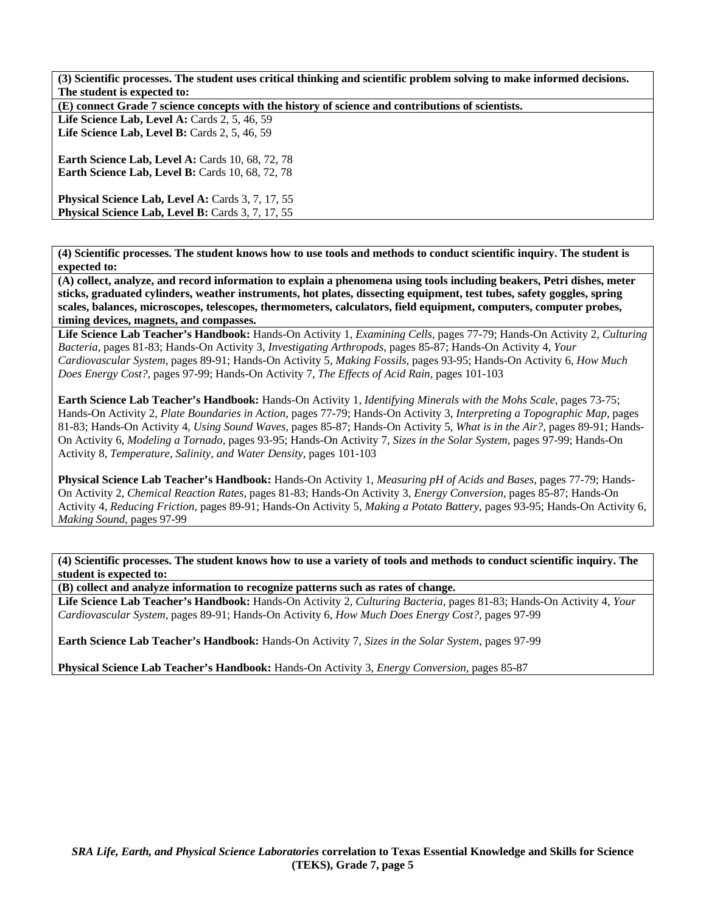Life Science Lab, Level A: Cards 2, 5, 46, 59 **Life Science Lab, Level B:** Cards 2, 5, 46, 59

**Earth Science Lab, Level A: Cards 10, 68, 72, 78 Earth Science Lab, Level B: Cards 10, 68, 72, 78** 

Physical Science Lab, Level A: Cards 3, 7, 17, 55 Physical Science Lab, Level B: Cards 3, 7, 17, 55

**(4) Scientific processes. The student knows how to use tools and methods to conduct scientific inquiry. The student is expected to:** 

**(A) collect, analyze, and record information to explain a phenomena using tools including beakers, Petri dishes, meter sticks, graduated cylinders, weather instruments, hot plates, dissecting equipment, test tubes, safety goggles, spring scales, balances, microscopes, telescopes, thermometers, calculators, field equipment, computers, computer probes, timing devices, magnets, and compasses.** 

**Life Science Lab Teacher's Handbook:** Hands-On Activity 1, *Examining Cells,* pages 77-79; Hands-On Activity 2, *Culturing Bacteria,* pages 81-83; Hands-On Activity 3, *Investigating Arthropods,* pages 85-87; Hands-On Activity 4, *Your Cardiovascular System,* pages 89-91; Hands-On Activity 5, *Making Fossils,* pages 93-95; Hands-On Activity 6, *How Much Does Energy Cost?,* pages 97-99; Hands-On Activity 7, *The Effects of Acid Rain,* pages 101-103

**Earth Science Lab Teacher's Handbook:** Hands-On Activity 1, *Identifying Minerals with the Mohs Scale,* pages 73-75; Hands-On Activity 2, *Plate Boundaries in Action,* pages 77-79; Hands-On Activity 3, *Interpreting a Topographic Map,* pages 81-83; Hands-On Activity 4, *Using Sound Waves,* pages 85-87; Hands-On Activity 5, *What is in the Air?,* pages 89-91; Hands-On Activity 6, *Modeling a Tornado,* pages 93-95; Hands-On Activity 7, *Sizes in the Solar System,* pages 97-99; Hands-On Activity 8, *Temperature, Salinity, and Water Density,* pages 101-103

**Physical Science Lab Teacher's Handbook:** Hands-On Activity 1, *Measuring pH of Acids and Bases,* pages 77-79; Hands-On Activity 2, *Chemical Reaction Rates,* pages 81-83; Hands-On Activity 3, *Energy Conversion,* pages 85-87; Hands-On Activity 4, *Reducing Friction,* pages 89-91; Hands-On Activity 5, *Making a Potato Battery,* pages 93-95; Hands-On Activity 6, *Making Sound,* pages 97-99

**(4) Scientific processes. The student knows how to use a variety of tools and methods to conduct scientific inquiry. The student is expected to:** 

**(B) collect and analyze information to recognize patterns such as rates of change.** 

**Life Science Lab Teacher's Handbook:** Hands-On Activity 2, *Culturing Bacteria,* pages 81-83; Hands-On Activity 4, *Your Cardiovascular System,* pages 89-91; Hands-On Activity 6, *How Much Does Energy Cost?,* pages 97-99

**Earth Science Lab Teacher's Handbook:** Hands-On Activity 7, *Sizes in the Solar System,* pages 97-99

**Physical Science Lab Teacher's Handbook:** Hands-On Activity 3, *Energy Conversion,* pages 85-87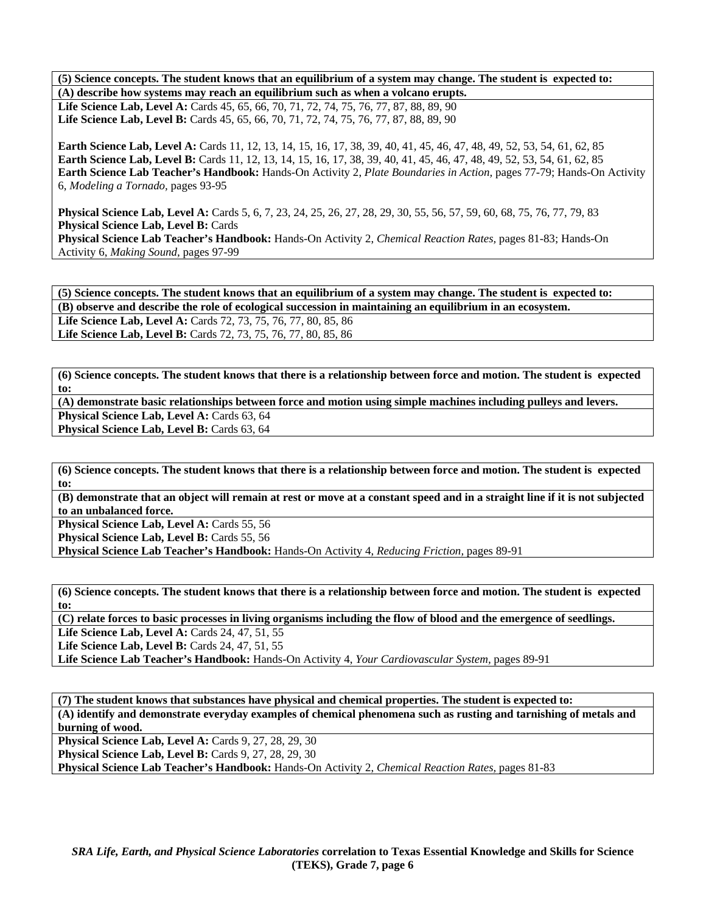**(5) Science concepts. The student knows that an equilibrium of a system may change. The student is expected to: (A) describe how systems may reach an equilibrium such as when a volcano erupts. Life Science Lab, Level A:** Cards 45, 65, 66, 70, 71, 72, 74, 75, 76, 77, 87, 88, 89, 90 Life Science Lab, Level B: Cards 45, 65, 66, 70, 71, 72, 74, 75, 76, 77, 87, 88, 89, 90

**Earth Science Lab, Level A:** Cards 11, 12, 13, 14, 15, 16, 17, 38, 39, 40, 41, 45, 46, 47, 48, 49, 52, 53, 54, 61, 62, 85 **Earth Science Lab, Level B:** Cards 11, 12, 13, 14, 15, 16, 17, 38, 39, 40, 41, 45, 46, 47, 48, 49, 52, 53, 54, 61, 62, 85 **Earth Science Lab Teacher's Handbook:** Hands-On Activity 2, *Plate Boundaries in Action,* pages 77-79; Hands-On Activity 6, *Modeling a Tornado,* pages 93-95

**Physical Science Lab, Level A:** Cards 5, 6, 7, 23, 24, 25, 26, 27, 28, 29, 30, 55, 56, 57, 59, 60, 68, 75, 76, 77, 79, 83 **Physical Science Lab, Level B: Cards Physical Science Lab Teacher's Handbook:** Hands-On Activity 2, *Chemical Reaction Rates,* pages 81-83; Hands-On Activity 6, *Making Sound,* pages 97-99

**(5) Science concepts. The student knows that an equilibrium of a system may change. The student is expected to: (B) observe and describe the role of ecological succession in maintaining an equilibrium in an ecosystem. Life Science Lab, Level A:** Cards 72, 73, 75, 76, 77, 80, 85, 86 **Life Science Lab, Level B:** Cards 72, 73, 75, 76, 77, 80, 85, 86

**(6) Science concepts. The student knows that there is a relationship between force and motion. The student is expected to:** 

**(A) demonstrate basic relationships between force and motion using simple machines including pulleys and levers. Physical Science Lab, Level A: Cards 63, 64** 

**Physical Science Lab, Level B: Cards 63, 64** 

**(6) Science concepts. The student knows that there is a relationship between force and motion. The student is expected to:** 

**(B) demonstrate that an object will remain at rest or move at a constant speed and in a straight line if it is not subjected to an unbalanced force.** 

Physical Science Lab, Level A: Cards 55, 56

Physical Science Lab, Level B: Cards 55, 56

**Physical Science Lab Teacher's Handbook:** Hands-On Activity 4, *Reducing Friction,* pages 89-91

**(6) Science concepts. The student knows that there is a relationship between force and motion. The student is expected to:** 

**(C) relate forces to basic processes in living organisms including the flow of blood and the emergence of seedlings.** 

**Life Science Lab, Level A:** Cards 24, 47, 51, 55

**Life Science Lab, Level B:** Cards 24, 47, 51, 55

**Life Science Lab Teacher's Handbook:** Hands-On Activity 4, *Your Cardiovascular System,* pages 89-91

**(7) The student knows that substances have physical and chemical properties. The student is expected to: (A) identify and demonstrate everyday examples of chemical phenomena such as rusting and tarnishing of metals and burning of wood. Physical Science Lab, Level A: Cards 9, 27, 28, 29, 30 Physical Science Lab, Level B: Cards 9, 27, 28, 29, 30 Physical Science Lab Teacher's Handbook:** Hands-On Activity 2, *Chemical Reaction Rates,* pages 81-83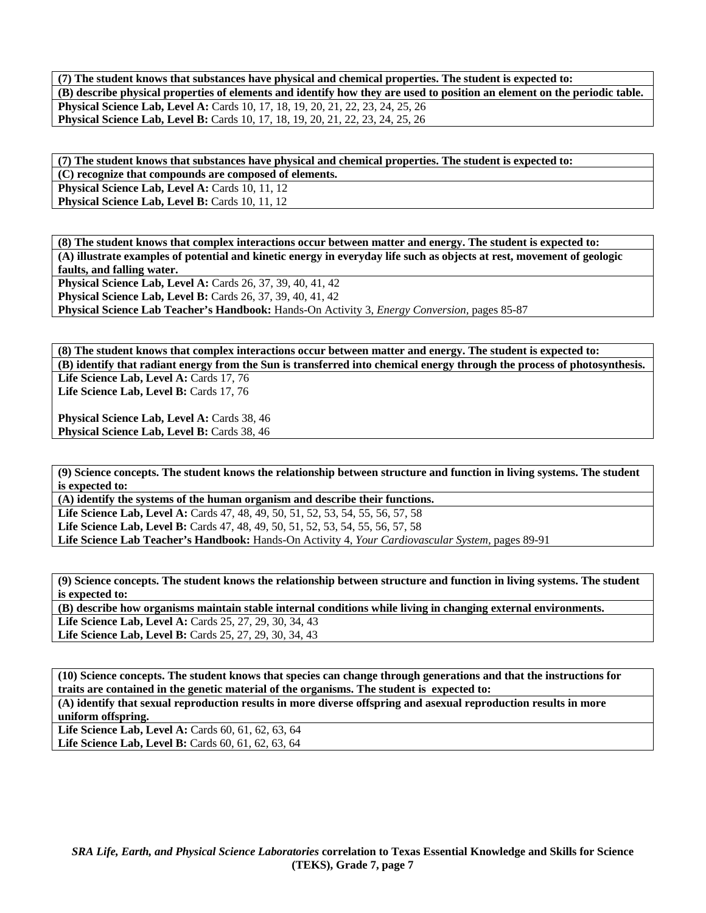**(7) The student knows that substances have physical and chemical properties. The student is expected to: (B) describe physical properties of elements and identify how they are used to position an element on the periodic table. Physical Science Lab, Level A:** Cards 10, 17, 18, 19, 20, 21, 22, 23, 24, 25, 26 **Physical Science Lab, Level B:** Cards 10, 17, 18, 19, 20, 21, 22, 23, 24, 25, 26

**(7) The student knows that substances have physical and chemical properties. The student is expected to: (C) recognize that compounds are composed of elements.** 

Physical Science Lab, Level A: Cards 10, 11, 12

**Physical Science Lab, Level B: Cards 10, 11, 12** 

**(8) The student knows that complex interactions occur between matter and energy. The student is expected to: (A) illustrate examples of potential and kinetic energy in everyday life such as objects at rest, movement of geologic faults, and falling water. Physical Science Lab, Level A: Cards 26, 37, 39, 40, 41, 42 Physical Science Lab, Level B:** Cards 26, 37, 39, 40, 41, 42 **Physical Science Lab Teacher's Handbook:** Hands-On Activity 3, *Energy Conversion,* pages 85-87

**(8) The student knows that complex interactions occur between matter and energy. The student is expected to: (B) identify that radiant energy from the Sun is transferred into chemical energy through the process of photosynthesis.**  Life Science Lab, Level A: Cards 17, 76 Life Science Lab, Level B: Cards 17, 76

Physical Science Lab, Level A: Cards 38, 46 Physical Science Lab, Level B: Cards 38, 46

**(9) Science concepts. The student knows the relationship between structure and function in living systems. The student is expected to:** 

**(A) identify the systems of the human organism and describe their functions.** 

Life Science Lab, Level A: Cards 47, 48, 49, 50, 51, 52, 53, 54, 55, 56, 57, 58 **Life Science Lab, Level B:** Cards 47, 48, 49, 50, 51, 52, 53, 54, 55, 56, 57, 58 **Life Science Lab Teacher's Handbook:** Hands-On Activity 4, *Your Cardiovascular System,* pages 89-91

**(9) Science concepts. The student knows the relationship between structure and function in living systems. The student is expected to:** 

**(B) describe how organisms maintain stable internal conditions while living in changing external environments. Life Science Lab, Level A: Cards 25, 27, 29, 30, 34, 43 Life Science Lab, Level B: Cards 25, 27, 29, 30, 34, 43** 

**(10) Science concepts. The student knows that species can change through generations and that the instructions for traits are contained in the genetic material of the organisms. The student is expected to:** 

**(A) identify that sexual reproduction results in more diverse offspring and asexual reproduction results in more uniform offspring.** 

Life Science Lab, Level A: Cards 60, 61, 62, 63, 64 Life Science Lab, Level B: Cards 60, 61, 62, 63, 64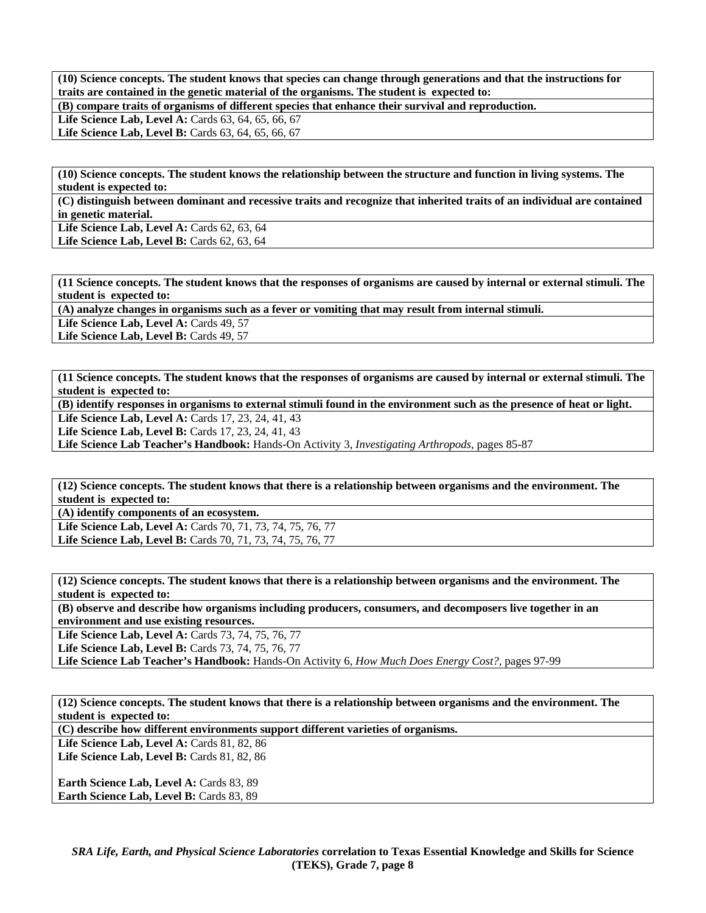**(10) Science concepts. The student knows that species can change through generations and that the instructions for traits are contained in the genetic material of the organisms. The student is expected to:** 

**(B) compare traits of organisms of different species that enhance their survival and reproduction.** 

Life Science Lab, Level A: Cards 63, 64, 65, 66, 67

Life Science Lab, Level B: Cards 63, 64, 65, 66, 67

**(10) Science concepts. The student knows the relationship between the structure and function in living systems. The student is expected to:** 

**(C) distinguish between dominant and recessive traits and recognize that inherited traits of an individual are contained in genetic material.** 

Life Science Lab, Level A: Cards 62, 63, 64 **Life Science Lab, Level B:** Cards 62, 63, 64

**(11 Science concepts. The student knows that the responses of organisms are caused by internal or external stimuli. The student is expected to:** 

**(A) analyze changes in organisms such as a fever or vomiting that may result from internal stimuli.** 

Life Science Lab, Level A: Cards 49, 57

Life Science Lab, Level B: Cards 49, 57

**(11 Science concepts. The student knows that the responses of organisms are caused by internal or external stimuli. The student is expected to:** 

**(B) identify responses in organisms to external stimuli found in the environment such as the presence of heat or light.** 

**Life Science Lab, Level A: Cards 17, 23, 24, 41, 43** 

**Life Science Lab, Level B: Cards 17, 23, 24, 41, 43** 

**Life Science Lab Teacher's Handbook:** Hands-On Activity 3, *Investigating Arthropods,* pages 85-87

**(12) Science concepts. The student knows that there is a relationship between organisms and the environment. The student is expected to:** 

**(A) identify components of an ecosystem. Life Science Lab, Level A:** Cards 70, 71, 73, 74, 75, 76, 77 **Life Science Lab, Level B:** Cards 70, 71, 73, 74, 75, 76, 77

**(12) Science concepts. The student knows that there is a relationship between organisms and the environment. The student is expected to:** 

**(B) observe and describe how organisms including producers, consumers, and decomposers live together in an environment and use existing resources.** 

Life Science Lab, Level A: Cards 73, 74, 75, 76, 77

Life Science Lab, Level B: Cards 73, 74, 75, 76, 77

**Life Science Lab Teacher's Handbook:** Hands-On Activity 6, *How Much Does Energy Cost?,* pages 97-99

**(12) Science concepts. The student knows that there is a relationship between organisms and the environment. The student is expected to:** 

**(C) describe how different environments support different varieties of organisms.** 

Life Science Lab, Level A: Cards 81, 82, 86 **Life Science Lab, Level B: Cards 81, 82, 86** 

**Earth Science Lab, Level A: Cards 83, 89 Earth Science Lab, Level B: Cards 83, 89**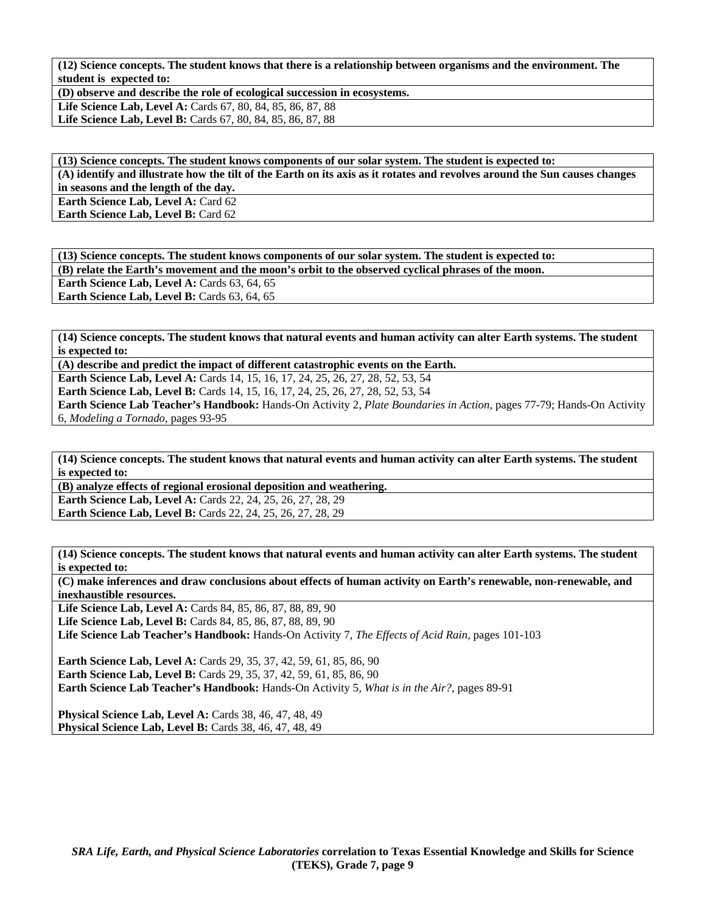**(12) Science concepts. The student knows that there is a relationship between organisms and the environment. The student is expected to:** 

**(D) observe and describe the role of ecological succession in ecosystems. Life Science Lab, Level A:** Cards 67, 80, 84, 85, 86, 87, 88 Life Science Lab, Level B: Cards 67, 80, 84, 85, 86, 87, 88

**(13) Science concepts. The student knows components of our solar system. The student is expected to: (A) identify and illustrate how the tilt of the Earth on its axis as it rotates and revolves around the Sun causes changes in seasons and the length of the day. Earth Science Lab, Level A: Card 62 Earth Science Lab, Level B: Card 62** 

**(13) Science concepts. The student knows components of our solar system. The student is expected to: (B) relate the Earth's movement and the moon's orbit to the observed cyclical phrases of the moon.** 

**Earth Science Lab, Level A: Cards 63, 64, 65** 

**Earth Science Lab, Level B: Cards 63, 64, 65** 

**(14) Science concepts. The student knows that natural events and human activity can alter Earth systems. The student is expected to:** 

**(A) describe and predict the impact of different catastrophic events on the Earth.** 

**Earth Science Lab, Level A:** Cards 14, 15, 16, 17, 24, 25, 26, 27, 28, 52, 53, 54

**Earth Science Lab, Level B:** Cards 14, 15, 16, 17, 24, 25, 26, 27, 28, 52, 53, 54

**Earth Science Lab Teacher's Handbook:** Hands-On Activity 2, *Plate Boundaries in Action,* pages 77-79; Hands-On Activity 6, *Modeling a Tornado,* pages 93-95

**(14) Science concepts. The student knows that natural events and human activity can alter Earth systems. The student is expected to:** 

**(B) analyze effects of regional erosional deposition and weathering.** 

**Earth Science Lab, Level A:** Cards 22, 24, 25, 26, 27, 28, 29 **Earth Science Lab, Level B:** Cards 22, 24, 25, 26, 27, 28, 29

**(14) Science concepts. The student knows that natural events and human activity can alter Earth systems. The student is expected to:** 

**(C) make inferences and draw conclusions about effects of human activity on Earth's renewable, non-renewable, and inexhaustible resources.** 

**Life Science Lab, Level A:** Cards 84, 85, 86, 87, 88, 89, 90 Life Science Lab, Level B: Cards 84, 85, 86, 87, 88, 89, 90 **Life Science Lab Teacher's Handbook:** Hands-On Activity 7, *The Effects of Acid Rain,* pages 101-103

**Earth Science Lab, Level A: Cards 29, 35, 37, 42, 59, 61, 85, 86, 90 Earth Science Lab, Level B:** Cards 29, 35, 37, 42, 59, 61, 85, 86, 90 **Earth Science Lab Teacher's Handbook:** Hands-On Activity 5, *What is in the Air?,* pages 89-91

**Physical Science Lab, Level A: Cards 38, 46, 47, 48, 49 Physical Science Lab, Level B: Cards 38, 46, 47, 48, 49**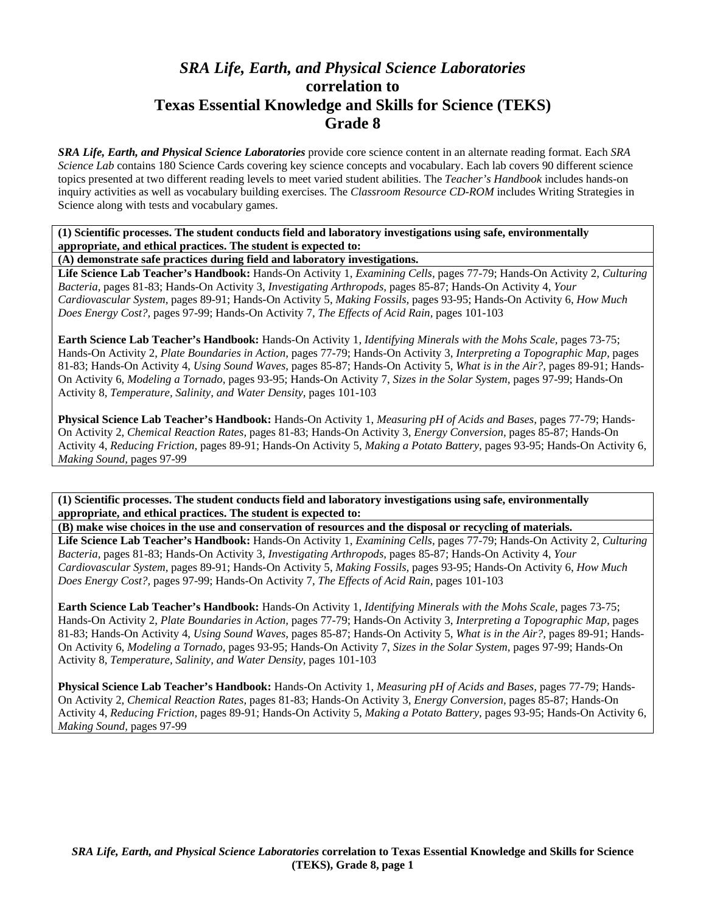## *SRA Life, Earth, and Physical Science Laboratories*  **correlation to Texas Essential Knowledge and Skills for Science (TEKS) Grade 8**

*SRA Life, Earth, and Physical Science Laboratories* provide core science content in an alternate reading format. Each *SRA Science Lab* contains 180 Science Cards covering key science concepts and vocabulary. Each lab covers 90 different science topics presented at two different reading levels to meet varied student abilities. The *Teacher's Handbook* includes hands-on inquiry activities as well as vocabulary building exercises. The *Classroom Resource CD-ROM* includes Writing Strategies in Science along with tests and vocabulary games.

**(1) Scientific processes. The student conducts field and laboratory investigations using safe, environmentally appropriate, and ethical practices. The student is expected to:** 

**(A) demonstrate safe practices during field and laboratory investigations.** 

**Life Science Lab Teacher's Handbook:** Hands-On Activity 1, *Examining Cells,* pages 77-79; Hands-On Activity 2, *Culturing Bacteria,* pages 81-83; Hands-On Activity 3, *Investigating Arthropods,* pages 85-87; Hands-On Activity 4, *Your Cardiovascular System,* pages 89-91; Hands-On Activity 5, *Making Fossils,* pages 93-95; Hands-On Activity 6, *How Much Does Energy Cost?,* pages 97-99; Hands-On Activity 7, *The Effects of Acid Rain,* pages 101-103

**Earth Science Lab Teacher's Handbook:** Hands-On Activity 1, *Identifying Minerals with the Mohs Scale,* pages 73-75; Hands-On Activity 2, *Plate Boundaries in Action,* pages 77-79; Hands-On Activity 3, *Interpreting a Topographic Map,* pages 81-83; Hands-On Activity 4, *Using Sound Waves,* pages 85-87; Hands-On Activity 5, *What is in the Air?,* pages 89-91; Hands-On Activity 6, *Modeling a Tornado,* pages 93-95; Hands-On Activity 7, *Sizes in the Solar System,* pages 97-99; Hands-On Activity 8, *Temperature, Salinity, and Water Density,* pages 101-103

**Physical Science Lab Teacher's Handbook:** Hands-On Activity 1, *Measuring pH of Acids and Bases,* pages 77-79; Hands-On Activity 2, *Chemical Reaction Rates,* pages 81-83; Hands-On Activity 3, *Energy Conversion,* pages 85-87; Hands-On Activity 4, *Reducing Friction,* pages 89-91; Hands-On Activity 5, *Making a Potato Battery,* pages 93-95; Hands-On Activity 6, *Making Sound,* pages 97-99

**(1) Scientific processes. The student conducts field and laboratory investigations using safe, environmentally appropriate, and ethical practices. The student is expected to:** 

**(B) make wise choices in the use and conservation of resources and the disposal or recycling of materials.** 

**Life Science Lab Teacher's Handbook:** Hands-On Activity 1, *Examining Cells,* pages 77-79; Hands-On Activity 2, *Culturing Bacteria,* pages 81-83; Hands-On Activity 3, *Investigating Arthropods,* pages 85-87; Hands-On Activity 4, *Your Cardiovascular System,* pages 89-91; Hands-On Activity 5, *Making Fossils,* pages 93-95; Hands-On Activity 6, *How Much Does Energy Cost?,* pages 97-99; Hands-On Activity 7, *The Effects of Acid Rain,* pages 101-103

**Earth Science Lab Teacher's Handbook:** Hands-On Activity 1, *Identifying Minerals with the Mohs Scale,* pages 73-75; Hands-On Activity 2, *Plate Boundaries in Action,* pages 77-79; Hands-On Activity 3, *Interpreting a Topographic Map,* pages 81-83; Hands-On Activity 4, *Using Sound Waves,* pages 85-87; Hands-On Activity 5, *What is in the Air?,* pages 89-91; Hands-On Activity 6, *Modeling a Tornado,* pages 93-95; Hands-On Activity 7, *Sizes in the Solar System,* pages 97-99; Hands-On Activity 8, *Temperature, Salinity, and Water Density,* pages 101-103

**Physical Science Lab Teacher's Handbook:** Hands-On Activity 1, *Measuring pH of Acids and Bases,* pages 77-79; Hands-On Activity 2, *Chemical Reaction Rates,* pages 81-83; Hands-On Activity 3, *Energy Conversion,* pages 85-87; Hands-On Activity 4, *Reducing Friction,* pages 89-91; Hands-On Activity 5, *Making a Potato Battery,* pages 93-95; Hands-On Activity 6, *Making Sound,* pages 97-99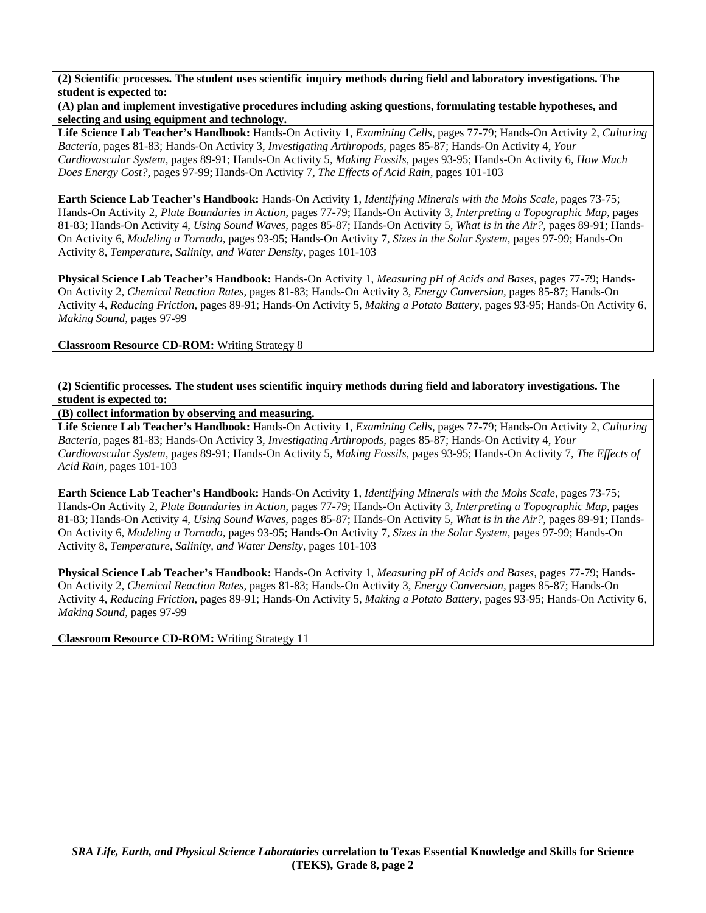**(A) plan and implement investigative procedures including asking questions, formulating testable hypotheses, and selecting and using equipment and technology.** 

**Life Science Lab Teacher's Handbook:** Hands-On Activity 1, *Examining Cells,* pages 77-79; Hands-On Activity 2, *Culturing Bacteria,* pages 81-83; Hands-On Activity 3, *Investigating Arthropods,* pages 85-87; Hands-On Activity 4, *Your Cardiovascular System,* pages 89-91; Hands-On Activity 5, *Making Fossils,* pages 93-95; Hands-On Activity 6, *How Much Does Energy Cost?,* pages 97-99; Hands-On Activity 7, *The Effects of Acid Rain,* pages 101-103

**Earth Science Lab Teacher's Handbook:** Hands-On Activity 1, *Identifying Minerals with the Mohs Scale,* pages 73-75; Hands-On Activity 2, *Plate Boundaries in Action,* pages 77-79; Hands-On Activity 3, *Interpreting a Topographic Map,* pages 81-83; Hands-On Activity 4, *Using Sound Waves,* pages 85-87; Hands-On Activity 5, *What is in the Air?,* pages 89-91; Hands-On Activity 6, *Modeling a Tornado,* pages 93-95; Hands-On Activity 7, *Sizes in the Solar System,* pages 97-99; Hands-On Activity 8, *Temperature, Salinity, and Water Density,* pages 101-103

**Physical Science Lab Teacher's Handbook:** Hands-On Activity 1, *Measuring pH of Acids and Bases,* pages 77-79; Hands-On Activity 2, *Chemical Reaction Rates,* pages 81-83; Hands-On Activity 3, *Energy Conversion,* pages 85-87; Hands-On Activity 4, *Reducing Friction,* pages 89-91; Hands-On Activity 5, *Making a Potato Battery,* pages 93-95; Hands-On Activity 6, *Making Sound,* pages 97-99

**Classroom Resource CD-ROM:** Writing Strategy 8

**(2) Scientific processes. The student uses scientific inquiry methods during field and laboratory investigations. The student is expected to:** 

**(B) collect information by observing and measuring.** 

**Life Science Lab Teacher's Handbook:** Hands-On Activity 1, *Examining Cells,* pages 77-79; Hands-On Activity 2, *Culturing Bacteria,* pages 81-83; Hands-On Activity 3, *Investigating Arthropods,* pages 85-87; Hands-On Activity 4, *Your Cardiovascular System,* pages 89-91; Hands-On Activity 5, *Making Fossils,* pages 93-95; Hands-On Activity 7, *The Effects of Acid Rain,* pages 101-103

**Earth Science Lab Teacher's Handbook:** Hands-On Activity 1, *Identifying Minerals with the Mohs Scale,* pages 73-75; Hands-On Activity 2, *Plate Boundaries in Action,* pages 77-79; Hands-On Activity 3, *Interpreting a Topographic Map,* pages 81-83; Hands-On Activity 4, *Using Sound Waves,* pages 85-87; Hands-On Activity 5, *What is in the Air?,* pages 89-91; Hands-On Activity 6, *Modeling a Tornado,* pages 93-95; Hands-On Activity 7, *Sizes in the Solar System,* pages 97-99; Hands-On Activity 8, *Temperature, Salinity, and Water Density,* pages 101-103

**Physical Science Lab Teacher's Handbook:** Hands-On Activity 1, *Measuring pH of Acids and Bases,* pages 77-79; Hands-On Activity 2, *Chemical Reaction Rates,* pages 81-83; Hands-On Activity 3, *Energy Conversion,* pages 85-87; Hands-On Activity 4, *Reducing Friction,* pages 89-91; Hands-On Activity 5, *Making a Potato Battery,* pages 93-95; Hands-On Activity 6, *Making Sound,* pages 97-99

**Classroom Resource CD-ROM:** Writing Strategy 11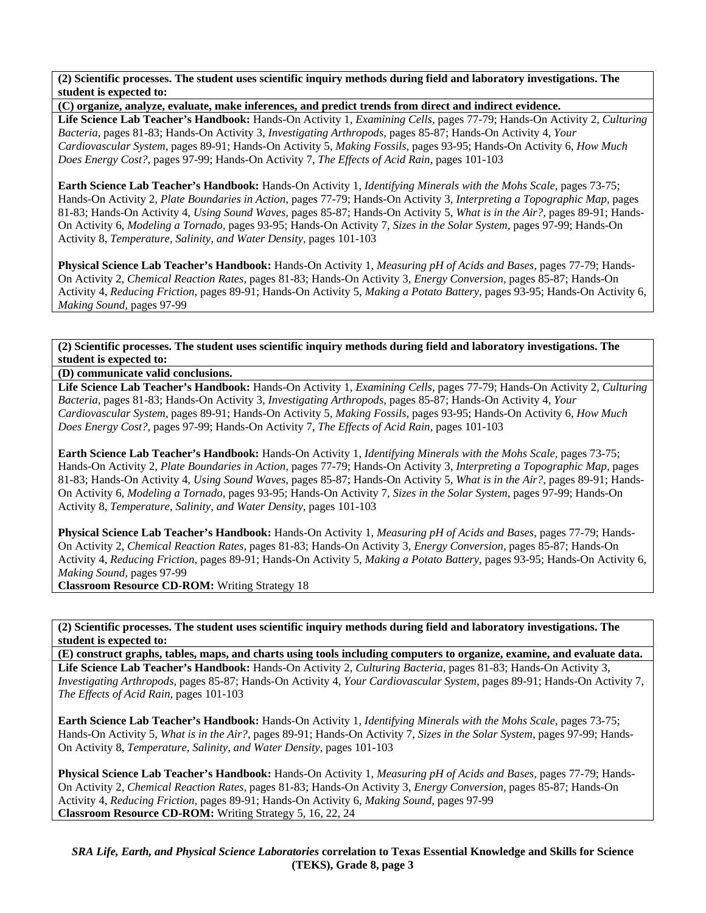**(C) organize, analyze, evaluate, make inferences, and predict trends from direct and indirect evidence.** 

**Life Science Lab Teacher's Handbook:** Hands-On Activity 1, *Examining Cells,* pages 77-79; Hands-On Activity 2, *Culturing Bacteria,* pages 81-83; Hands-On Activity 3, *Investigating Arthropods,* pages 85-87; Hands-On Activity 4, *Your Cardiovascular System,* pages 89-91; Hands-On Activity 5, *Making Fossils,* pages 93-95; Hands-On Activity 6, *How Much Does Energy Cost?,* pages 97-99; Hands-On Activity 7, *The Effects of Acid Rain,* pages 101-103

**Earth Science Lab Teacher's Handbook:** Hands-On Activity 1, *Identifying Minerals with the Mohs Scale,* pages 73-75; Hands-On Activity 2, *Plate Boundaries in Action,* pages 77-79; Hands-On Activity 3, *Interpreting a Topographic Map,* pages 81-83; Hands-On Activity 4, *Using Sound Waves,* pages 85-87; Hands-On Activity 5, *What is in the Air?,* pages 89-91; Hands-On Activity 6, *Modeling a Tornado,* pages 93-95; Hands-On Activity 7, *Sizes in the Solar System,* pages 97-99; Hands-On Activity 8, *Temperature, Salinity, and Water Density,* pages 101-103

**Physical Science Lab Teacher's Handbook:** Hands-On Activity 1, *Measuring pH of Acids and Bases,* pages 77-79; Hands-On Activity 2, *Chemical Reaction Rates,* pages 81-83; Hands-On Activity 3, *Energy Conversion,* pages 85-87; Hands-On Activity 4, *Reducing Friction,* pages 89-91; Hands-On Activity 5, *Making a Potato Battery,* pages 93-95; Hands-On Activity 6, *Making Sound,* pages 97-99

**(2) Scientific processes. The student uses scientific inquiry methods during field and laboratory investigations. The student is expected to:** 

#### **(D) communicate valid conclusions.**

**Life Science Lab Teacher's Handbook:** Hands-On Activity 1, *Examining Cells,* pages 77-79; Hands-On Activity 2, *Culturing Bacteria,* pages 81-83; Hands-On Activity 3, *Investigating Arthropods,* pages 85-87; Hands-On Activity 4, *Your Cardiovascular System,* pages 89-91; Hands-On Activity 5, *Making Fossils,* pages 93-95; Hands-On Activity 6, *How Much Does Energy Cost?,* pages 97-99; Hands-On Activity 7, *The Effects of Acid Rain,* pages 101-103

**Earth Science Lab Teacher's Handbook:** Hands-On Activity 1, *Identifying Minerals with the Mohs Scale,* pages 73-75; Hands-On Activity 2, *Plate Boundaries in Action,* pages 77-79; Hands-On Activity 3, *Interpreting a Topographic Map,* pages 81-83; Hands-On Activity 4, *Using Sound Waves,* pages 85-87; Hands-On Activity 5, *What is in the Air?,* pages 89-91; Hands-On Activity 6, *Modeling a Tornado,* pages 93-95; Hands-On Activity 7, *Sizes in the Solar System,* pages 97-99; Hands-On Activity 8, *Temperature, Salinity, and Water Density,* pages 101-103

**Physical Science Lab Teacher's Handbook:** Hands-On Activity 1, *Measuring pH of Acids and Bases,* pages 77-79; Hands-On Activity 2, *Chemical Reaction Rates,* pages 81-83; Hands-On Activity 3, *Energy Conversion,* pages 85-87; Hands-On Activity 4, *Reducing Friction,* pages 89-91; Hands-On Activity 5, *Making a Potato Battery,* pages 93-95; Hands-On Activity 6, *Making Sound,* pages 97-99

**Classroom Resource CD-ROM:** Writing Strategy 18

**(2) Scientific processes. The student uses scientific inquiry methods during field and laboratory investigations. The student is expected to:** 

**(E) construct graphs, tables, maps, and charts using tools including computers to organize, examine, and evaluate data. Life Science Lab Teacher's Handbook:** Hands-On Activity 2, *Culturing Bacteria,* pages 81-83; Hands-On Activity 3, *Investigating Arthropods,* pages 85-87; Hands-On Activity 4, *Your Cardiovascular System,* pages 89-91; Hands-On Activity 7, *The Effects of Acid Rain,* pages 101-103

**Earth Science Lab Teacher's Handbook:** Hands-On Activity 1, *Identifying Minerals with the Mohs Scale,* pages 73-75; Hands-On Activity 5, *What is in the Air?,* pages 89-91; Hands-On Activity 7, *Sizes in the Solar System,* pages 97-99; Hands-On Activity 8, *Temperature, Salinity, and Water Density,* pages 101-103

**Physical Science Lab Teacher's Handbook:** Hands-On Activity 1, *Measuring pH of Acids and Bases,* pages 77-79; Hands-On Activity 2, *Chemical Reaction Rates,* pages 81-83; Hands-On Activity 3, *Energy Conversion,* pages 85-87; Hands-On Activity 4, *Reducing Friction,* pages 89-91; Hands-On Activity 6, *Making Sound,* pages 97-99 **Classroom Resource CD-ROM:** Writing Strategy 5, 16, 22, 24

*SRA Life, Earth, and Physical Science Laboratories* **correlation to Texas Essential Knowledge and Skills for Science (TEKS), Grade 8, page 3**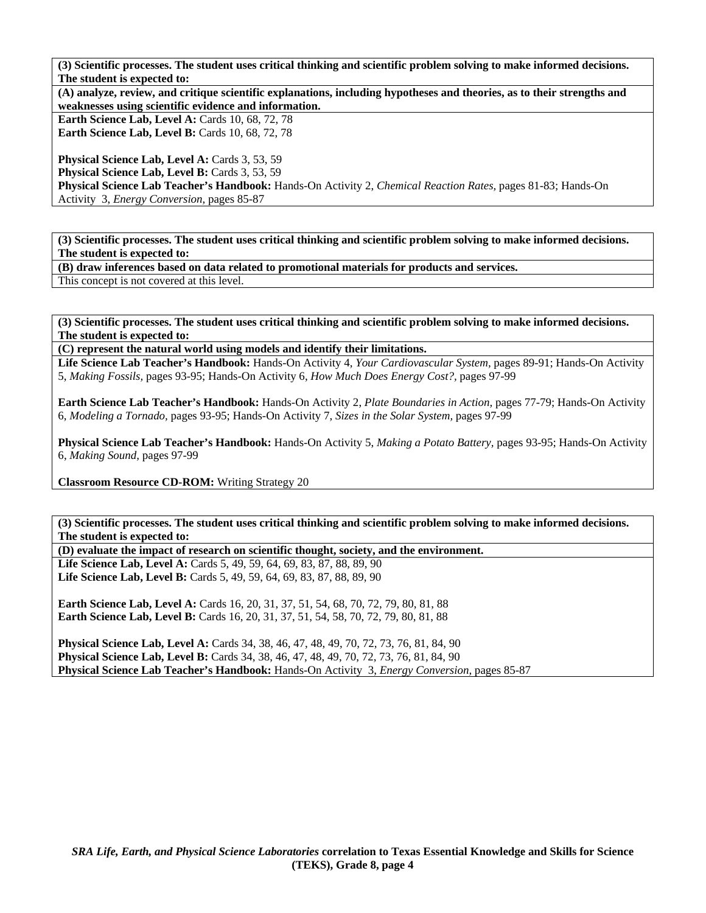**(A) analyze, review, and critique scientific explanations, including hypotheses and theories, as to their strengths and weaknesses using scientific evidence and information.** 

**Earth Science Lab, Level A: Cards 10, 68, 72, 78 Earth Science Lab, Level B: Cards 10, 68, 72, 78** 

Physical Science Lab, Level A: Cards 3, 53, 59 **Physical Science Lab, Level B: Cards 3, 53, 59 Physical Science Lab Teacher's Handbook:** Hands-On Activity 2, *Chemical Reaction Rates,* pages 81-83; Hands-On Activity 3, *Energy Conversion,* pages 85-87

**(3) Scientific processes. The student uses critical thinking and scientific problem solving to make informed decisions. The student is expected to:** 

**(B) draw inferences based on data related to promotional materials for products and services.** 

This concept is not covered at this level.

**(3) Scientific processes. The student uses critical thinking and scientific problem solving to make informed decisions. The student is expected to:** 

**(C) represent the natural world using models and identify their limitations.** 

**Life Science Lab Teacher's Handbook:** Hands-On Activity 4, *Your Cardiovascular System,* pages 89-91; Hands-On Activity 5, *Making Fossils,* pages 93-95; Hands-On Activity 6, *How Much Does Energy Cost?,* pages 97-99

**Earth Science Lab Teacher's Handbook:** Hands-On Activity 2, *Plate Boundaries in Action,* pages 77-79; Hands-On Activity 6, *Modeling a Tornado,* pages 93-95; Hands-On Activity 7, *Sizes in the Solar System,* pages 97-99

**Physical Science Lab Teacher's Handbook:** Hands-On Activity 5, *Making a Potato Battery,* pages 93-95; Hands-On Activity 6, *Making Sound,* pages 97-99

**Classroom Resource CD-ROM:** Writing Strategy 20

**(3) Scientific processes. The student uses critical thinking and scientific problem solving to make informed decisions. The student is expected to:** 

**(D) evaluate the impact of research on scientific thought, society, and the environment.**  Life Science Lab, Level A: Cards 5, 49, 59, 64, 69, 83, 87, 88, 89, 90

Life Science Lab, Level B: Cards 5, 49, 59, 64, 69, 83, 87, 88, 89, 90

**Earth Science Lab, Level A:** Cards 16, 20, 31, 37, 51, 54, 68, 70, 72, 79, 80, 81, 88 **Earth Science Lab, Level B:** Cards 16, 20, 31, 37, 51, 54, 58, 70, 72, 79, 80, 81, 88

**Physical Science Lab, Level A:** Cards 34, 38, 46, 47, 48, 49, 70, 72, 73, 76, 81, 84, 90 **Physical Science Lab, Level B:** Cards 34, 38, 46, 47, 48, 49, 70, 72, 73, 76, 81, 84, 90 **Physical Science Lab Teacher's Handbook:** Hands-On Activity 3, *Energy Conversion,* pages 85-87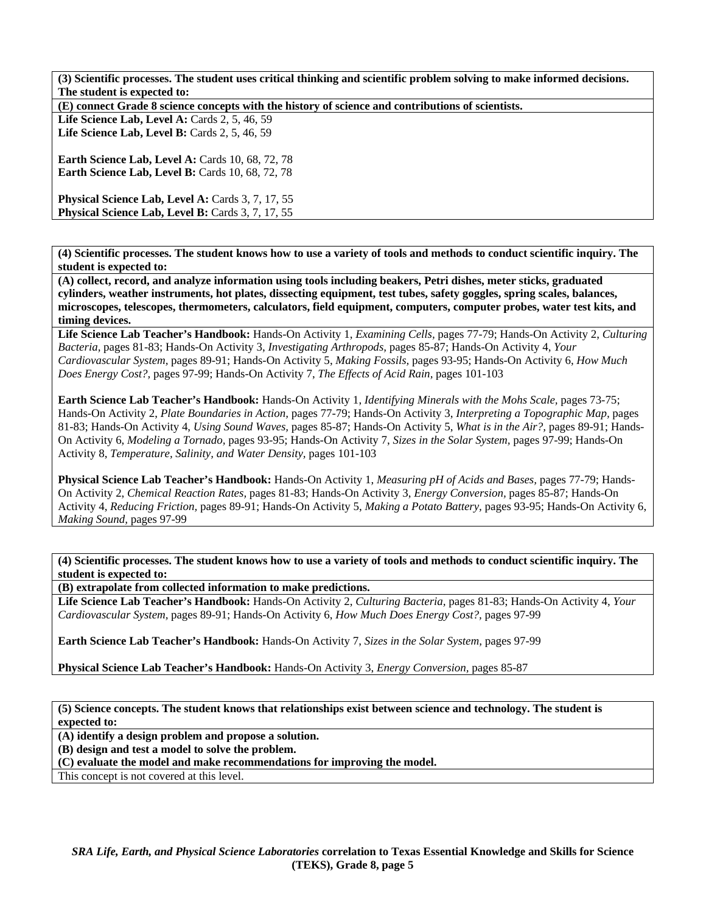Life Science Lab, Level A: Cards 2, 5, 46, 59 **Life Science Lab, Level B:** Cards 2, 5, 46, 59

**Earth Science Lab, Level A: Cards 10, 68, 72, 78 Earth Science Lab, Level B: Cards 10, 68, 72, 78** 

Physical Science Lab, Level A: Cards 3, 7, 17, 55 Physical Science Lab, Level B: Cards 3, 7, 17, 55

**(4) Scientific processes. The student knows how to use a variety of tools and methods to conduct scientific inquiry. The student is expected to:** 

**(A) collect, record, and analyze information using tools including beakers, Petri dishes, meter sticks, graduated cylinders, weather instruments, hot plates, dissecting equipment, test tubes, safety goggles, spring scales, balances, microscopes, telescopes, thermometers, calculators, field equipment, computers, computer probes, water test kits, and timing devices.** 

**Life Science Lab Teacher's Handbook:** Hands-On Activity 1, *Examining Cells,* pages 77-79; Hands-On Activity 2, *Culturing Bacteria,* pages 81-83; Hands-On Activity 3, *Investigating Arthropods,* pages 85-87; Hands-On Activity 4, *Your Cardiovascular System,* pages 89-91; Hands-On Activity 5, *Making Fossils,* pages 93-95; Hands-On Activity 6, *How Much Does Energy Cost?,* pages 97-99; Hands-On Activity 7, *The Effects of Acid Rain,* pages 101-103

**Earth Science Lab Teacher's Handbook:** Hands-On Activity 1, *Identifying Minerals with the Mohs Scale,* pages 73-75; Hands-On Activity 2, *Plate Boundaries in Action,* pages 77-79; Hands-On Activity 3, *Interpreting a Topographic Map,* pages 81-83; Hands-On Activity 4, *Using Sound Waves,* pages 85-87; Hands-On Activity 5, *What is in the Air?,* pages 89-91; Hands-On Activity 6, *Modeling a Tornado,* pages 93-95; Hands-On Activity 7, *Sizes in the Solar System,* pages 97-99; Hands-On Activity 8, *Temperature, Salinity, and Water Density,* pages 101-103

**Physical Science Lab Teacher's Handbook:** Hands-On Activity 1, *Measuring pH of Acids and Bases,* pages 77-79; Hands-On Activity 2, *Chemical Reaction Rates,* pages 81-83; Hands-On Activity 3, *Energy Conversion,* pages 85-87; Hands-On Activity 4, *Reducing Friction,* pages 89-91; Hands-On Activity 5, *Making a Potato Battery,* pages 93-95; Hands-On Activity 6, *Making Sound,* pages 97-99

**(4) Scientific processes. The student knows how to use a variety of tools and methods to conduct scientific inquiry. The student is expected to:** 

**(B) extrapolate from collected information to make predictions.** 

**Life Science Lab Teacher's Handbook:** Hands-On Activity 2, *Culturing Bacteria,* pages 81-83; Hands-On Activity 4, *Your Cardiovascular System,* pages 89-91; Hands-On Activity 6, *How Much Does Energy Cost?,* pages 97-99

**Earth Science Lab Teacher's Handbook:** Hands-On Activity 7, *Sizes in the Solar System,* pages 97-99

**Physical Science Lab Teacher's Handbook:** Hands-On Activity 3, *Energy Conversion,* pages 85-87

**(5) Science concepts. The student knows that relationships exist between science and technology. The student is expected to:** 

**(A) identify a design problem and propose a solution.** 

**(B) design and test a model to solve the problem.** 

**(C) evaluate the model and make recommendations for improving the model.** 

This concept is not covered at this level.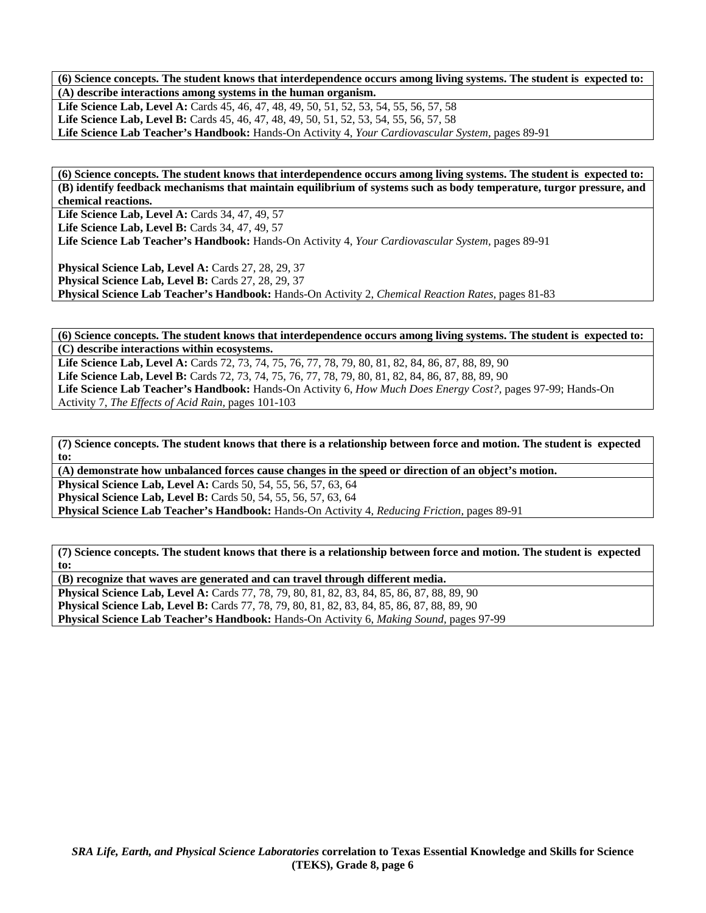**(6) Science concepts. The student knows that interdependence occurs among living systems. The student is expected to: (A) describe interactions among systems in the human organism. Life Science Lab, Level A:** Cards 45, 46, 47, 48, 49, 50, 51, 52, 53, 54, 55, 56, 57, 58 Life Science Lab, Level B: Cards 45, 46, 47, 48, 49, 50, 51, 52, 53, 54, 55, 56, 57, 58 **Life Science Lab Teacher's Handbook:** Hands-On Activity 4, *Your Cardiovascular System,* pages 89-91

**(6) Science concepts. The student knows that interdependence occurs among living systems. The student is expected to: (B) identify feedback mechanisms that maintain equilibrium of systems such as body temperature, turgor pressure, and chemical reactions.** 

Life Science Lab, Level A: Cards 34, 47, 49, 57

**Life Science Lab, Level B:** Cards 34, 47, 49, 57

**Life Science Lab Teacher's Handbook:** Hands-On Activity 4, *Your Cardiovascular System,* pages 89-91

**Physical Science Lab, Level A:** Cards 27, 28, 29, 37 **Physical Science Lab, Level B:** Cards 27, 28, 29, 37 **Physical Science Lab Teacher's Handbook:** Hands-On Activity 2, *Chemical Reaction Rates,* pages 81-83

**(6) Science concepts. The student knows that interdependence occurs among living systems. The student is expected to: (C) describe interactions within ecosystems.** 

**Life Science Lab, Level A:** Cards 72, 73, 74, 75, 76, 77, 78, 79, 80, 81, 82, 84, 86, 87, 88, 89, 90 **Life Science Lab, Level B:** Cards 72, 73, 74, 75, 76, 77, 78, 79, 80, 81, 82, 84, 86, 87, 88, 89, 90 **Life Science Lab Teacher's Handbook:** Hands-On Activity 6, *How Much Does Energy Cost?,* pages 97-99; Hands-On Activity 7, *The Effects of Acid Rain,* pages 101-103

**(7) Science concepts. The student knows that there is a relationship between force and motion. The student is expected to:** 

**(A) demonstrate how unbalanced forces cause changes in the speed or direction of an object's motion.** 

**Physical Science Lab, Level A:** Cards 50, 54, 55, 56, 57, 63, 64 **Physical Science Lab, Level B:** Cards 50, 54, 55, 56, 57, 63, 64

**Physical Science Lab Teacher's Handbook:** Hands-On Activity 4, *Reducing Friction,* pages 89-91

**(7) Science concepts. The student knows that there is a relationship between force and motion. The student is expected to:** 

**(B) recognize that waves are generated and can travel through different media. Physical Science Lab, Level A:** Cards 77, 78, 79, 80, 81, 82, 83, 84, 85, 86, 87, 88, 89, 90 **Physical Science Lab, Level B:** Cards 77, 78, 79, 80, 81, 82, 83, 84, 85, 86, 87, 88, 89, 90 **Physical Science Lab Teacher's Handbook:** Hands-On Activity 6, *Making Sound,* pages 97-99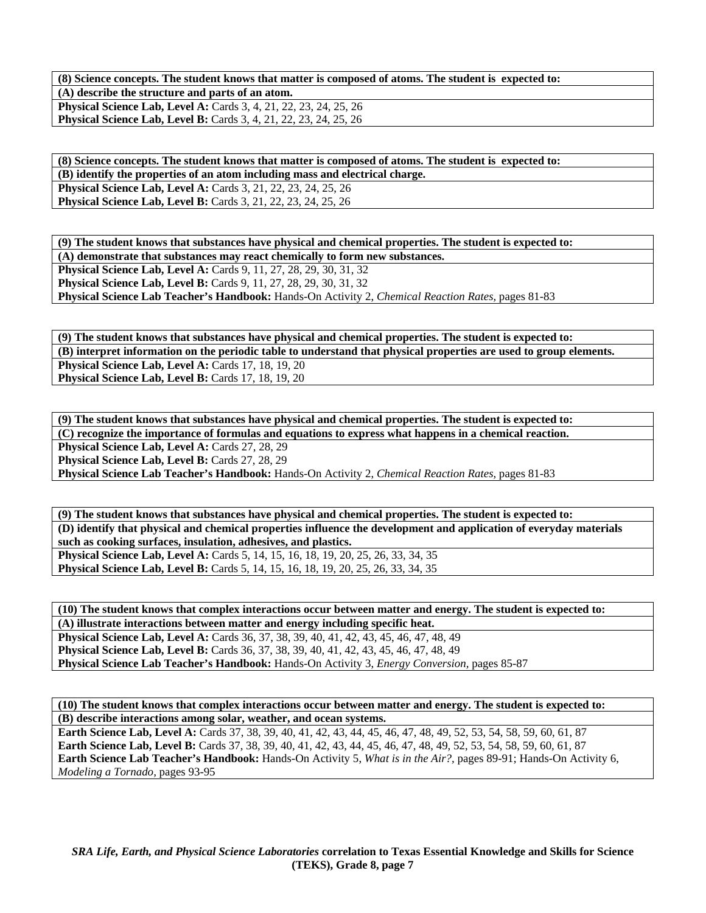**(8) Science concepts. The student knows that matter is composed of atoms. The student is expected to: (A) describe the structure and parts of an atom. Physical Science Lab, Level A:** Cards 3, 4, 21, 22, 23, 24, 25, 26 **Physical Science Lab, Level B:** Cards 3, 4, 21, 22, 23, 24, 25, 26

**(8) Science concepts. The student knows that matter is composed of atoms. The student is expected to: (B) identify the properties of an atom including mass and electrical charge. Physical Science Lab, Level A:** Cards 3, 21, 22, 23, 24, 25, 26 **Physical Science Lab, Level B:** Cards 3, 21, 22, 23, 24, 25, 26

**(9) The student knows that substances have physical and chemical properties. The student is expected to: (A) demonstrate that substances may react chemically to form new substances. Physical Science Lab, Level A:** Cards 9, 11, 27, 28, 29, 30, 31, 32 **Physical Science Lab, Level B:** Cards 9, 11, 27, 28, 29, 30, 31, 32 **Physical Science Lab Teacher's Handbook:** Hands-On Activity 2, *Chemical Reaction Rates,* pages 81-83

**(9) The student knows that substances have physical and chemical properties. The student is expected to: (B) interpret information on the periodic table to understand that physical properties are used to group elements. Physical Science Lab, Level A: Cards 17, 18, 19, 20** Physical Science Lab, Level B: Cards 17, 18, 19, 20

**(9) The student knows that substances have physical and chemical properties. The student is expected to: (C) recognize the importance of formulas and equations to express what happens in a chemical reaction.**  Physical Science Lab, Level A: Cards 27, 28, 29 **Physical Science Lab, Level B: Cards 27, 28, 29 Physical Science Lab Teacher's Handbook:** Hands-On Activity 2, *Chemical Reaction Rates,* pages 81-83

**(9) The student knows that substances have physical and chemical properties. The student is expected to: (D) identify that physical and chemical properties influence the development and application of everyday materials such as cooking surfaces, insulation, adhesives, and plastics. Physical Science Lab, Level A:** Cards 5, 14, 15, 16, 18, 19, 20, 25, 26, 33, 34, 35 **Physical Science Lab, Level B:** Cards 5, 14, 15, 16, 18, 19, 20, 25, 26, 33, 34, 35

**(10) The student knows that complex interactions occur between matter and energy. The student is expected to: (A) illustrate interactions between matter and energy including specific heat. Physical Science Lab, Level A:** Cards 36, 37, 38, 39, 40, 41, 42, 43, 45, 46, 47, 48, 49 **Physical Science Lab, Level B:** Cards 36, 37, 38, 39, 40, 41, 42, 43, 45, 46, 47, 48, 49 **Physical Science Lab Teacher's Handbook:** Hands-On Activity 3, *Energy Conversion,* pages 85-87

**(10) The student knows that complex interactions occur between matter and energy. The student is expected to: (B) describe interactions among solar, weather, and ocean systems.** 

**Earth Science Lab, Level A:** Cards 37, 38, 39, 40, 41, 42, 43, 44, 45, 46, 47, 48, 49, 52, 53, 54, 58, 59, 60, 61, 87 **Earth Science Lab, Level B:** Cards 37, 38, 39, 40, 41, 42, 43, 44, 45, 46, 47, 48, 49, 52, 53, 54, 58, 59, 60, 61, 87 **Earth Science Lab Teacher's Handbook:** Hands-On Activity 5, *What is in the Air?,* pages 89-91; Hands-On Activity 6, *Modeling a Tornado,* pages 93-95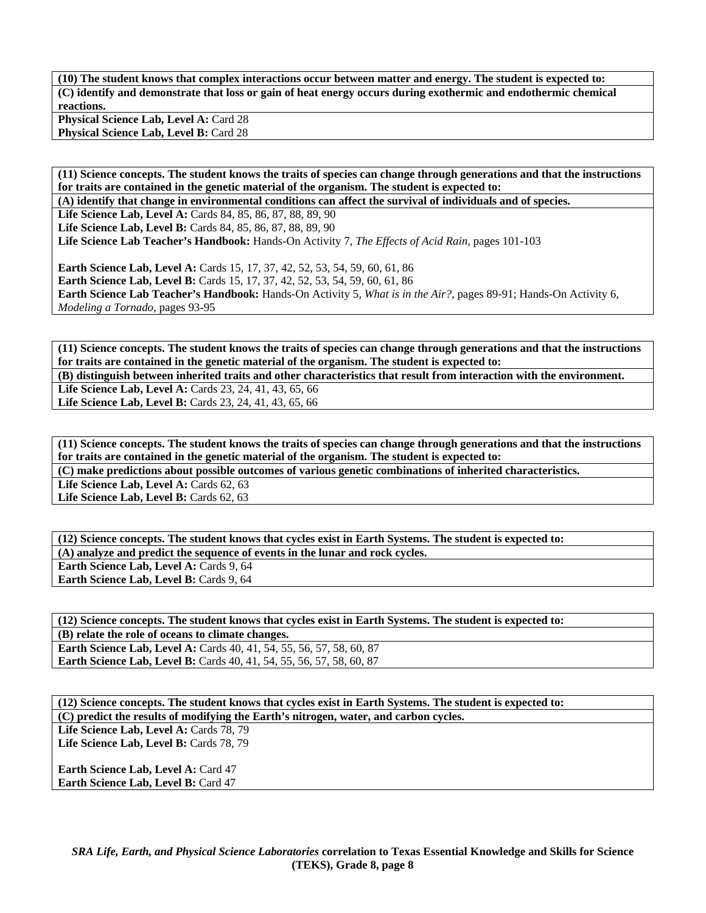**(10) The student knows that complex interactions occur between matter and energy. The student is expected to: (C) identify and demonstrate that loss or gain of heat energy occurs during exothermic and endothermic chemical reactions.** 

Physical Science Lab, Level A: Card 28 **Physical Science Lab, Level B: Card 28** 

**(11) Science concepts. The student knows the traits of species can change through generations and that the instructions for traits are contained in the genetic material of the organism. The student is expected to:** 

**(A) identify that change in environmental conditions can affect the survival of individuals and of species.** 

Life Science Lab, Level A: Cards 84, 85, 86, 87, 88, 89, 90

Life Science Lab, Level B: Cards 84, 85, 86, 87, 88, 89, 90

**Life Science Lab Teacher's Handbook:** Hands-On Activity 7, *The Effects of Acid Rain,* pages 101-103

**Earth Science Lab, Level A: Cards 15, 17, 37, 42, 52, 53, 54, 59, 60, 61, 86 Earth Science Lab, Level B:** Cards 15, 17, 37, 42, 52, 53, 54, 59, 60, 61, 86 **Earth Science Lab Teacher's Handbook:** Hands-On Activity 5, *What is in the Air?,* pages 89-91; Hands-On Activity 6, *Modeling a Tornado,* pages 93-95

**(11) Science concepts. The student knows the traits of species can change through generations and that the instructions for traits are contained in the genetic material of the organism. The student is expected to:** 

**(B) distinguish between inherited traits and other characteristics that result from interaction with the environment.**  Life Science Lab, Level A: Cards 23, 24, 41, 43, 65, 66

Life Science Lab, Level B: Cards 23, 24, 41, 43, 65, 66

**(11) Science concepts. The student knows the traits of species can change through generations and that the instructions for traits are contained in the genetic material of the organism. The student is expected to:** 

**(C) make predictions about possible outcomes of various genetic combinations of inherited characteristics.** 

Life Science Lab, Level A: Cards 62, 63 Life Science Lab, Level B: Cards 62, 63

**(12) Science concepts. The student knows that cycles exist in Earth Systems. The student is expected to: (A) analyze and predict the sequence of events in the lunar and rock cycles. Earth Science Lab, Level A: Cards 9, 64 Earth Science Lab, Level B: Cards 9, 64** 

**(12) Science concepts. The student knows that cycles exist in Earth Systems. The student is expected to: (B) relate the role of oceans to climate changes. Earth Science Lab, Level A: Cards 40, 41, 54, 55, 56, 57, 58, 60, 87 Earth Science Lab, Level B:** Cards 40, 41, 54, 55, 56, 57, 58, 60, 87

**(12) Science concepts. The student knows that cycles exist in Earth Systems. The student is expected to: (C) predict the results of modifying the Earth's nitrogen, water, and carbon cycles.**  Life Science Lab, Level A: Cards 78, 79 Life Science Lab, Level B: Cards 78, 79 **Earth Science Lab, Level A: Card 47** 

**Earth Science Lab, Level B: Card 47**